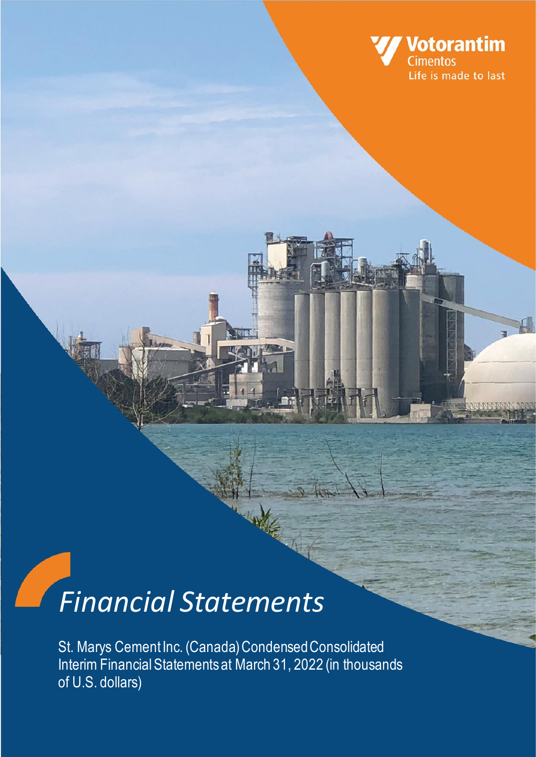

# *Financial Statements*

St. Marys Cement Inc. (Canada) Condensed Consolidated Interim Financial Statementsat March 31, 2022 (in thousands of U.S. dollars)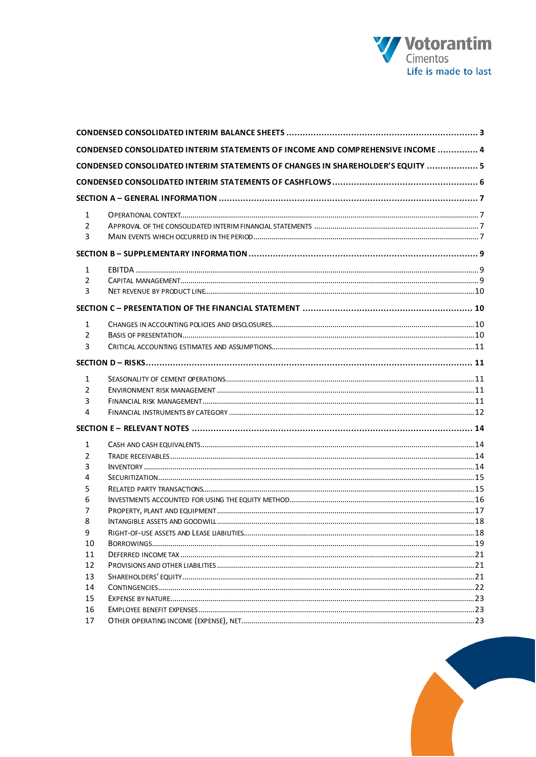

|                | CONDENSED CONSOLIDATED INTERIM STATEMENTS OF INCOME AND COMPREHENSIVE INCOME  4 |  |
|----------------|---------------------------------------------------------------------------------|--|
|                | CONDENSED CONSOLIDATED INTERIM STATEMENTS OF CHANGES IN SHAREHOLDER'S EQUITY  5 |  |
|                |                                                                                 |  |
|                |                                                                                 |  |
| $\mathbf{1}$   |                                                                                 |  |
| 2              |                                                                                 |  |
| 3              |                                                                                 |  |
|                |                                                                                 |  |
| $\mathbf{1}$   |                                                                                 |  |
| $\overline{2}$ |                                                                                 |  |
| 3              |                                                                                 |  |
|                |                                                                                 |  |
| $\mathbf{1}$   |                                                                                 |  |
| $\overline{2}$ |                                                                                 |  |
| 3              |                                                                                 |  |
|                |                                                                                 |  |
| 1              |                                                                                 |  |
| $\overline{2}$ |                                                                                 |  |
| 3              |                                                                                 |  |
| 4              |                                                                                 |  |
|                |                                                                                 |  |
| 1              |                                                                                 |  |
| 2              |                                                                                 |  |
| 3              |                                                                                 |  |
| 4              |                                                                                 |  |
| 5              |                                                                                 |  |
| 6              |                                                                                 |  |
| 7              |                                                                                 |  |
| 8              |                                                                                 |  |
| 9              |                                                                                 |  |
| 10             |                                                                                 |  |
| 11<br>12       |                                                                                 |  |
| 13             |                                                                                 |  |
| 14             |                                                                                 |  |
| 15             |                                                                                 |  |
| 16             |                                                                                 |  |
| 17             |                                                                                 |  |
|                |                                                                                 |  |

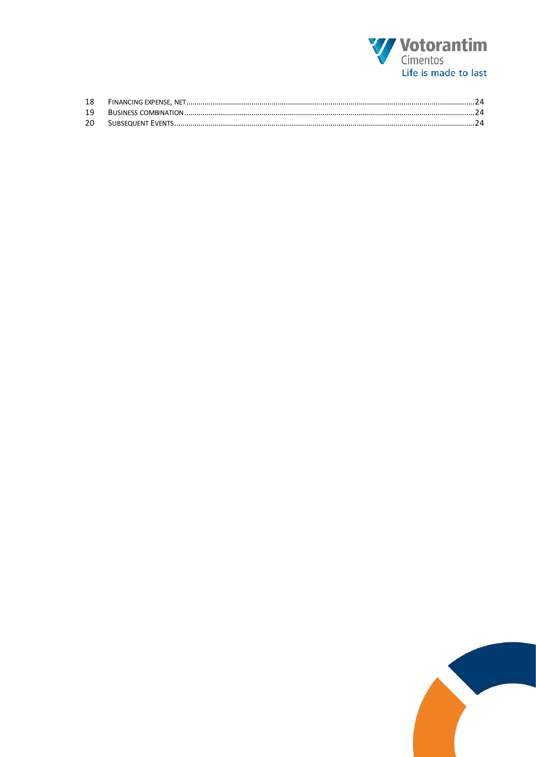

| -18 |  |
|-----|--|
|     |  |
| 20  |  |

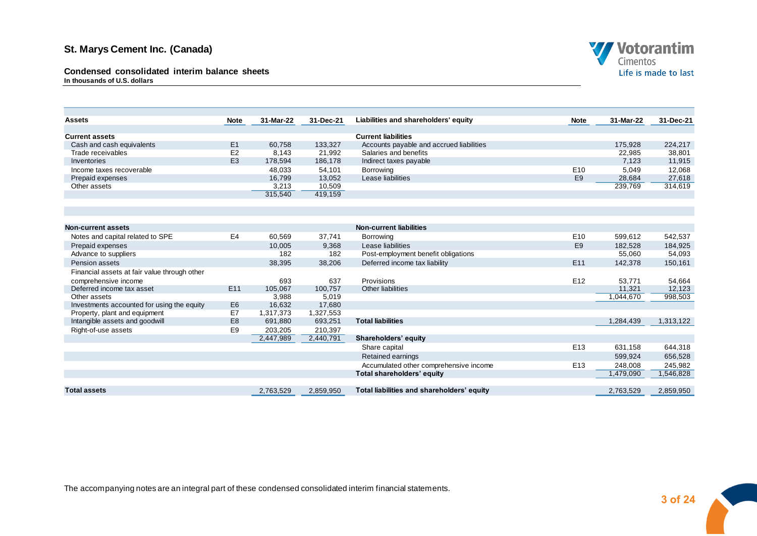**Condensed consolidated interim balance sheets In thousands of U.S. dollars**



| <b>Assets</b>                                | <b>Note</b>    | 31-Mar-22       | 31-Dec-21       | Liabilities and shareholders' equity                     | <b>Note</b>     | 31-Mar-22         | 31-Dec-21         |
|----------------------------------------------|----------------|-----------------|-----------------|----------------------------------------------------------|-----------------|-------------------|-------------------|
| <b>Current assets</b>                        |                |                 |                 | <b>Current liabilities</b>                               |                 |                   |                   |
| Cash and cash equivalents                    | E1             | 60,758          | 133,327         | Accounts payable and accrued liabilities                 |                 | 175,928           | 224,217           |
| Trade receivables                            | E <sub>2</sub> | 8,143           | 21,992          | Salaries and benefits                                    |                 | 22,985            | 38,801            |
| Inventories                                  | E <sub>3</sub> | 178,594         | 186,178         | Indirect taxes payable                                   |                 | 7,123             | 11,915            |
| Income taxes recoverable                     |                | 48,033          | 54,101          | <b>Borrowing</b>                                         | E <sub>10</sub> | 5,049             | 12,068            |
| Prepaid expenses                             |                | 16,799          | 13,052          | Lease liabilities                                        | E <sub>9</sub>  | 28,684            | 27,618            |
| Other assets                                 |                | 3,213           | 10,509          |                                                          |                 | 239,769           | 314,619           |
|                                              |                | 315,540         | 419,159         |                                                          |                 |                   |                   |
|                                              |                |                 |                 |                                                          |                 |                   |                   |
|                                              |                |                 |                 |                                                          |                 |                   |                   |
| Non-current assets                           |                |                 |                 | <b>Non-current liabilities</b>                           |                 |                   |                   |
|                                              |                |                 |                 |                                                          |                 |                   |                   |
| Notes and capital related to SPE             | E4             | 60,569          | 37,741          | Borrowing                                                | E <sub>10</sub> | 599,612           | 542,537           |
| Prepaid expenses<br>Advance to suppliers     |                | 10,005<br>182   | 9,368<br>182    | Lease liabilities<br>Post-employment benefit obligations | E <sub>9</sub>  | 182,528<br>55,060 | 184,925<br>54,093 |
|                                              |                |                 |                 |                                                          | E <sub>11</sub> |                   |                   |
| Pension assets                               |                | 38,395          | 38,206          | Deferred income tax liability                            |                 | 142,378           | 150,161           |
| Financial assets at fair value through other |                |                 |                 |                                                          |                 |                   |                   |
| comprehensive income                         |                | 693             | 637             | Provisions                                               | E <sub>12</sub> | 53,771            | 54,664            |
| Deferred income tax asset<br>Other assets    | E11            | 105,067         | 100,757         | Other liabilities                                        |                 | 11,321            | 12,123            |
| Investments accounted for using the equity   | E <sub>6</sub> | 3,988<br>16,632 | 5,019<br>17,680 |                                                          |                 | 1,044,670         | 998,503           |
| Property, plant and equipment                | E7             | 1,317,373       | 1,327,553       |                                                          |                 |                   |                   |
| Intangible assets and goodwill               | E <sub>8</sub> | 691,880         | 693,251         | <b>Total liabilities</b>                                 |                 | 1.284.439         | 1,313,122         |
| Right-of-use assets                          | E <sub>9</sub> | 203,205         | 210,397         |                                                          |                 |                   |                   |
|                                              |                | 2,447,989       | 2,440,791       | Shareholders' equity                                     |                 |                   |                   |
|                                              |                |                 |                 | Share capital                                            | E <sub>13</sub> | 631,158           | 644,318           |
|                                              |                |                 |                 | Retained earnings                                        |                 | 599,924           | 656,528           |
|                                              |                |                 |                 | Accumulated other comprehensive income                   | E <sub>13</sub> | 248,008           | 245,982           |
|                                              |                |                 |                 | Total shareholders' equity                               |                 | 1,479,090         | 1,546,828         |
|                                              |                |                 |                 |                                                          |                 |                   |                   |
| <b>Total assets</b>                          |                | 2,763,529       | 2,859,950       | Total liabilities and shareholders' equity               |                 | 2,763,529         | 2,859,950         |

<span id="page-3-0"></span>The accompanying notes are an integral part of these condensed consolidated interim financial statements.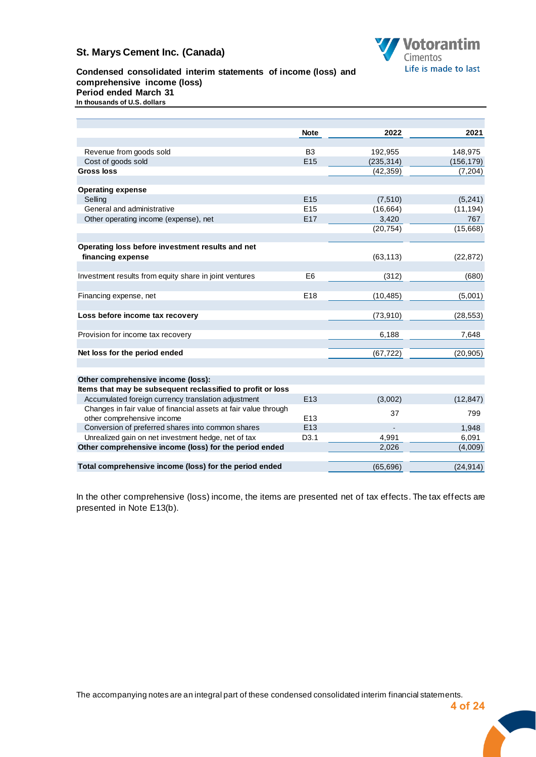

#### **Condensed consolidated interim statements of income (loss) and comprehensive income (loss) Period ended March 31 In thousands of U.S. dollars**

|                                                                 | <b>Note</b>      | 2022       | 2021       |
|-----------------------------------------------------------------|------------------|------------|------------|
|                                                                 |                  |            |            |
| Revenue from goods sold                                         | B <sub>3</sub>   | 192,955    | 148,975    |
| Cost of goods sold                                              | E <sub>15</sub>  | (235, 314) | (156, 179) |
| <b>Gross loss</b>                                               |                  | (42, 359)  | (7, 204)   |
|                                                                 |                  |            |            |
| <b>Operating expense</b>                                        |                  |            |            |
| Selling                                                         | E15              | (7, 510)   | (5, 241)   |
| General and administrative                                      | E <sub>15</sub>  | (16, 664)  | (11, 194)  |
| Other operating income (expense), net                           | E17              | 3,420      | 767        |
|                                                                 |                  | (20, 754)  | (15,668)   |
|                                                                 |                  |            |            |
| Operating loss before investment results and net                |                  |            |            |
| financing expense                                               |                  | (63, 113)  | (22, 872)  |
|                                                                 |                  |            |            |
| Investment results from equity share in joint ventures          | E <sub>6</sub>   | (312)      | (680)      |
|                                                                 |                  |            |            |
| Financing expense, net                                          | E18              | (10, 485)  | (5,001)    |
|                                                                 |                  |            |            |
| Loss before income tax recovery                                 |                  | (73, 910)  | (28, 553)  |
|                                                                 |                  |            |            |
| Provision for income tax recovery                               |                  | 6,188      | 7,648      |
|                                                                 |                  |            |            |
| Net loss for the period ended                                   |                  | (67, 722)  | (20, 905)  |
|                                                                 |                  |            |            |
|                                                                 |                  |            |            |
| Other comprehensive income (loss):                              |                  |            |            |
| Items that may be subsequent reclassified to profit or loss     |                  |            |            |
| Accumulated foreign currency translation adjustment             | E <sub>13</sub>  | (3,002)    | (12, 847)  |
| Changes in fair value of financial assets at fair value through |                  | 37         | 799        |
| other comprehensive income                                      | E <sub>13</sub>  |            |            |
| Conversion of preferred shares into common shares               | E <sub>13</sub>  |            | 1.948      |
| Unrealized gain on net investment hedge, net of tax             | D <sub>3.1</sub> | 4,991      | 6,091      |
| Other comprehensive income (loss) for the period ended          |                  | 2,026      | (4,009)    |
|                                                                 |                  |            |            |
| Total comprehensive income (loss) for the period ended          |                  | (65, 696)  | (24, 914)  |

<span id="page-4-0"></span>**Condensed consolidated interim statements of income and comprehensive income**

In the other comprehensive (loss) income, the items are presented net of tax effects. The tax effects are presented in Note E13(b).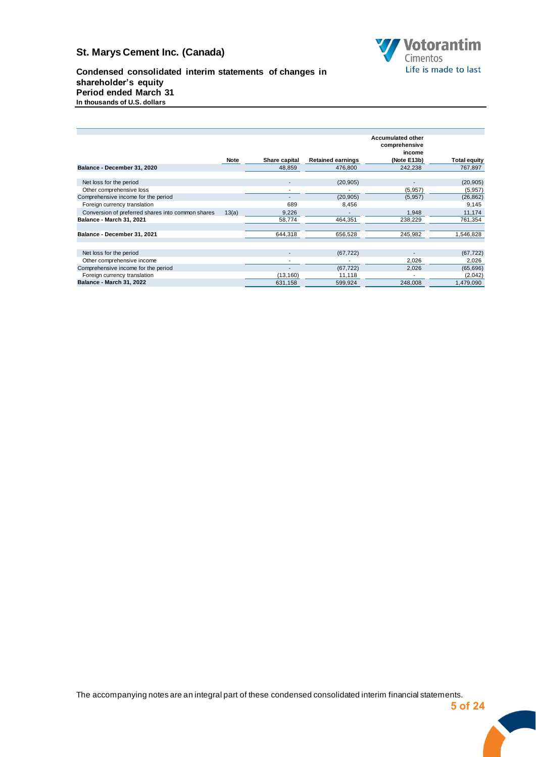

**Condensed consolidated interim statements of changes in shareholder's equity Period ended March 31 In thousands of U.S. dollars**

<span id="page-5-0"></span>

|                                                   |             |                          |                          | <b>Accumulated other</b> |              |
|---------------------------------------------------|-------------|--------------------------|--------------------------|--------------------------|--------------|
|                                                   |             |                          |                          | comprehensive            |              |
|                                                   |             |                          |                          | income                   |              |
|                                                   | <b>Note</b> | Share capital            | <b>Retained earnings</b> | (Note E13b)              | Total equity |
| Balance - December 31, 2020                       |             | 48,859                   | 476,800                  | 242,238                  | 767,897      |
|                                                   |             |                          |                          |                          |              |
| Net loss for the period                           |             |                          | (20, 905)                |                          | (20, 905)    |
| Other comprehensive loss                          |             |                          |                          | (5, 957)                 | (5,957)      |
| Comprehensive income for the period               |             |                          | (20, 905)                | (5, 957)                 | (26, 862)    |
| Foreign currency translation                      |             | 689                      | 8,456                    |                          | 9,145        |
| Conversion of preferred shares into common shares | 13(a)       | 9,226                    |                          | 1,948                    | 11,174       |
| Balance - March 31, 2021                          |             | 58,774                   | 464,351                  | 238,229                  | 761,354      |
|                                                   |             |                          |                          |                          |              |
| Balance - December 31, 2021                       |             | 644,318                  | 656,528                  | 245,982                  | 1,546,828    |
|                                                   |             |                          |                          |                          |              |
| Net loss for the period                           |             | $\overline{\phantom{a}}$ | (67, 722)                |                          | (67, 722)    |
| Other comprehensive income                        |             | ۰                        |                          | 2,026                    | 2,026        |
| Comprehensive income for the period               |             | -                        |                          | 2,026                    |              |
|                                                   |             |                          | (67, 722)                |                          | (65, 696)    |
| Foreign currency translation                      |             | (13, 160)                | 11,118                   |                          | (2,042)      |
| <b>Balance - March 31, 2022</b>                   |             | 631,158                  | 599,924                  | 248,008                  | 1,479,090    |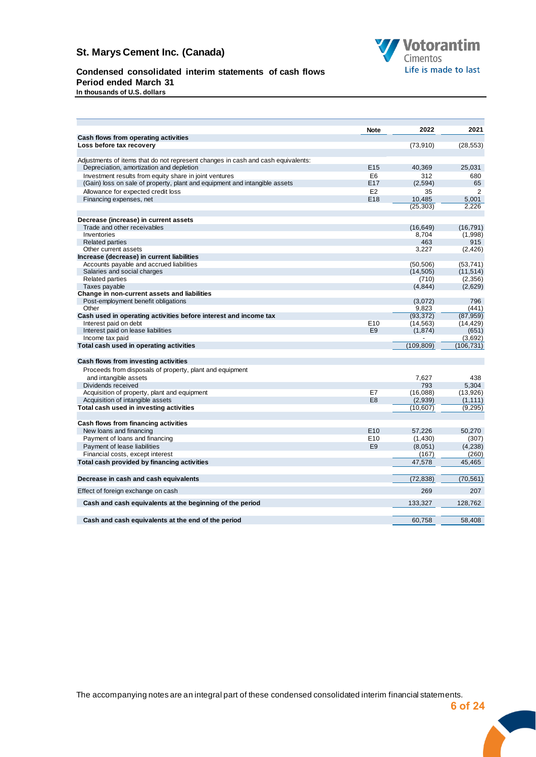

# **Condensed consolidated interim statements of cash flows**

**Period ended March 31** 

<span id="page-6-0"></span>**In thousands of U.S. dollars**

|                                                                                  | <b>Note</b>     | 2022               | 2021                 |
|----------------------------------------------------------------------------------|-----------------|--------------------|----------------------|
| Cash flows from operating activities                                             |                 |                    |                      |
| Loss before tax recovery                                                         |                 | (73,910)           | (28, 553)            |
| Adjustments of items that do not represent changes in cash and cash equivalents: |                 |                    |                      |
| Depreciation, amortization and depletion                                         | E <sub>15</sub> | 40.369             | 25.031               |
| Investment results from equity share in joint ventures                           | E6              | 312                | 680                  |
| (Gain) loss on sale of property, plant and equipment and intangible assets       | E <sub>17</sub> | (2,594)            | 65                   |
| Allowance for expected credit loss                                               | E <sub>2</sub>  | 35                 | 2                    |
| Financing expenses, net                                                          | E18             | 10,485             | 5,001                |
|                                                                                  |                 | (25, 303)          | 2,226                |
|                                                                                  |                 |                    |                      |
| Decrease (increase) in current assets                                            |                 |                    |                      |
| Trade and other receivables                                                      |                 | (16, 649)          | (16, 791)            |
| Inventories                                                                      |                 | 8.704              | (1,998)              |
| <b>Related parties</b>                                                           |                 | 463                | 915                  |
| Other current assets                                                             |                 | 3.227              | (2, 426)             |
| Increase (decrease) in current liabilities                                       |                 |                    |                      |
| Accounts payable and accrued liabilities                                         |                 | (50, 506)          | (53, 741)            |
| Salaries and social charges<br><b>Related parties</b>                            |                 | (14, 505)<br>(710) | (11, 514)<br>(2,356) |
| Taxes payable                                                                    |                 | (4, 844)           | (2,629)              |
| Change in non-current assets and liabilities                                     |                 |                    |                      |
| Post-employment benefit obligations                                              |                 | (3,072)            | 796                  |
| Other                                                                            |                 | 9,823              | (441)                |
| Cash used in operating activities before interest and income tax                 |                 | (93, 372)          | (87, 959)            |
| Interest paid on debt                                                            | E <sub>10</sub> | (14, 563)          | (14, 429)            |
| Interest paid on lease liabilities                                               | E <sub>9</sub>  | (1,874)            | (651)                |
| Income tax paid                                                                  |                 |                    | (3,692)              |
| Total cash used in operating activities                                          |                 | (109, 809)         | (106, 731)           |
|                                                                                  |                 |                    |                      |
| Cash flows from investing activities                                             |                 |                    |                      |
| Proceeds from disposals of property, plant and equipment                         |                 |                    |                      |
| and intangible assets                                                            |                 | 7.627              | 438                  |
| Dividends received                                                               |                 | 793                | 5.304                |
| Acquisition of property, plant and equipment                                     | E7              | (16,088)           | (13,926)             |
| Acquisition of intangible assets                                                 | E <sub>8</sub>  | (2,939)            | (1, 111)             |
| Total cash used in investing activities                                          |                 | (10, 607)          | (9, 295)             |
|                                                                                  |                 |                    |                      |
| Cash flows from financing activities                                             |                 |                    |                      |
| New loans and financing                                                          | E <sub>10</sub> | 57.226             | 50,270               |
| Payment of loans and financing                                                   | E <sub>10</sub> | (1,430)            | (307)                |
| Payment of lease liabilities                                                     | E <sub>9</sub>  | (8,051)            | (4,238)              |
| Financial costs, except interest                                                 |                 | (167)              | (260)                |
| Total cash provided by financing activities                                      |                 | 47,578             | 45.465               |
|                                                                                  |                 |                    |                      |
| Decrease in cash and cash equivalents                                            |                 | (72, 838)          | (70, 561)            |
| Effect of foreign exchange on cash                                               |                 | 269                | 207                  |
|                                                                                  |                 |                    |                      |
| Cash and cash equivalents at the beginning of the period                         |                 | 133,327            | 128,762              |
|                                                                                  |                 |                    |                      |
| Cash and cash equivalents at the end of the period                               |                 | 60.758             | 58.408               |
|                                                                                  |                 |                    |                      |

The accompanying notes are an integral part of these condensed consolidated interim financial statements.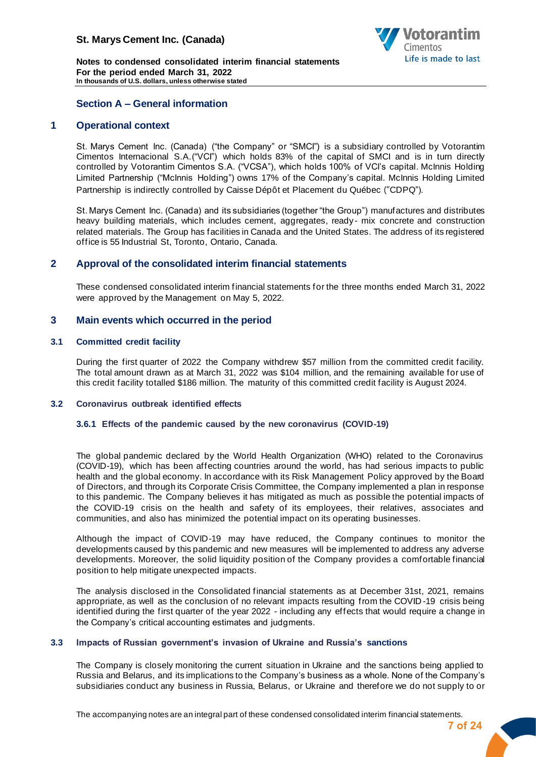

**Notes to condensed consolidated interim financial statements For the period ended March 31, 2022 In thousands of U.S. dollars, unless otherwise stated**

## <span id="page-7-0"></span>**Section A – General information**

## **1 Operational context**

<span id="page-7-1"></span>St. Marys Cement Inc. (Canada) ("the Company" or "SMCI") is a subsidiary controlled by Votorantim Cimentos Internacional S.A.("VCI") which holds 83% of the capital of SMCI and is in turn directly controlled by Votorantim Cimentos S.A. ("VCSA"), which holds 100% of VCI's capital. McInnis Holding Limited Partnership ("McInnis Holding") owns 17% of the Company's capital. McInnis Holding Limited Partnership is indirectly controlled by Caisse Dépôt et Placement du Québec ("CDPQ").

St. Marys Cement Inc. (Canada) and its subsidiaries (together "the Group") manufactures and distributes heavy building materials, which includes cement, aggregates, ready- mix concrete and construction related materials. The Group has facilities in Canada and the United States. The address of its registered office is 55 Industrial St, Toronto, Ontario, Canada.

## <span id="page-7-2"></span>**2 Approval of the consolidated interim financial statements**

These condensed consolidated interim financial statements for the three months ended March 31, 2022 were approved by the Management on May 5, 2022.

#### <span id="page-7-3"></span>**3 Main events which occurred in the period**

#### **3.1 Committed credit facility**

During the first quarter of 2022 the Company withdrew \$57 million from the committed credit facility. The total amount drawn as at March 31, 2022 was \$104 million, and the remaining available for use of this credit facility totalled \$186 million. The maturity of this committed credit facility is August 2024.

#### **3.2 Coronavirus outbreak identified effects**

#### **3.6.1 Effects of the pandemic caused by the new coronavirus (COVID-19)**

The global pandemic declared by the World Health Organization (WHO) related to the Coronavirus (COVID-19), which has been affecting countries around the world, has had serious impacts to public health and the global economy. In accordance with its Risk Management Policy approved by the Board of Directors, and through its Corporate Crisis Committee, the Company implemented a plan in response to this pandemic. The Company believes it has mitigated as much as possible the potential impacts of the COVID-19 crisis on the health and safety of its employees, their relatives, associates and communities, and also has minimized the potential impact on its operating businesses.

Although the impact of COVID-19 may have reduced, the Company continues to monitor the developments caused by this pandemic and new measures will be implemented to address any adverse developments. Moreover, the solid liquidity position of the Company provides a comfortable financial position to help mitigate unexpected impacts.

The analysis disclosed in the Consolidated financial statements as at December 31st, 2021, remains appropriate, as well as the conclusion of no relevant impacts resulting from the COVID -19 crisis being identified during the first quarter of the year 2022 - including any effects that would require a change in the Company's critical accounting estimates and judgments.

#### **3.3 Impacts of Russian government's invasion of Ukraine and Russia's sanctions**

The Company is closely monitoring the current situation in Ukraine and the sanctions being applied to Russia and Belarus, and its implications to the Company's business as a whole. None of the Company's subsidiaries conduct any business in Russia, Belarus, or Ukraine and therefore we do not supply to or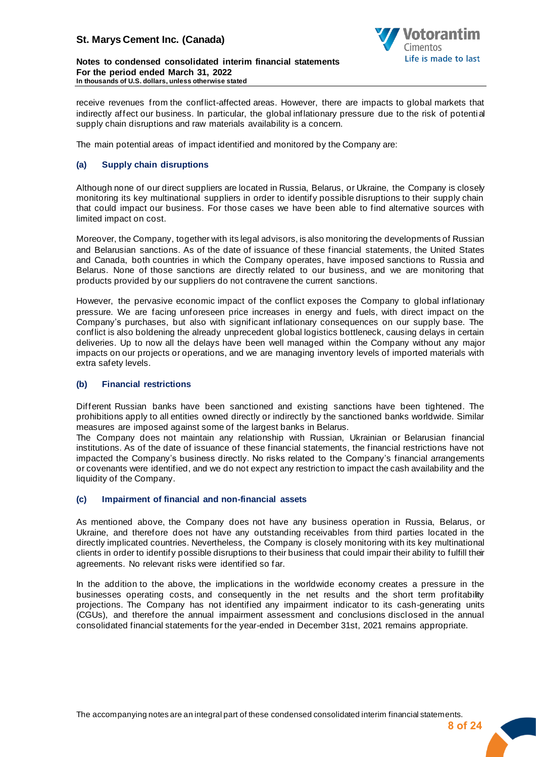

**Notes to condensed consolidated interim financial statements For the period ended March 31, 2022 In thousands of U.S. dollars, unless otherwise stated**

receive revenues from the conflict-affected areas. However, there are impacts to global markets that indirectly affect our business. In particular, the global inflationary pressure due to the risk of potential supply chain disruptions and raw materials availability is a concern.

The main potential areas of impact identified and monitored by the Company are:

#### **(a) Supply chain disruptions**

Although none of our direct suppliers are located in Russia, Belarus, or Ukraine, the Company is closely monitoring its key multinational suppliers in order to identify possible disruptions to their supply chain that could impact our business. For those cases we have been able to find alternative sources with limited impact on cost.

Moreover, the Company, together with its legal advisors, is also monitoring the developments of Russian and Belarusian sanctions. As of the date of issuance of these financial statements, the United States and Canada, both countries in which the Company operates, have imposed sanctions to Russia and Belarus. None of those sanctions are directly related to our business, and we are monitoring that products provided by our suppliers do not contravene the current sanctions.

However, the pervasive economic impact of the conflict exposes the Company to global inflationary pressure. We are facing unforeseen price increases in energy and fuels, with direct impact on the Company's purchases, but also with significant inflationary consequences on our supply base. The conflict is also boldening the already unprecedent global logistics bottleneck, causing delays in certain deliveries. Up to now all the delays have been well managed within the Company without any major impacts on our projects or operations, and we are managing inventory levels of imported materials with extra safety levels.

#### **(b) Financial restrictions**

Different Russian banks have been sanctioned and existing sanctions have been tightened. The prohibitions apply to all entities owned directly or indirectly by the sanctioned banks worldwide. Similar measures are imposed against some of the largest banks in Belarus.

The Company does not maintain any relationship with Russian, Ukrainian or Belarusian financial institutions. As of the date of issuance of these financial statements, the financial restrictions have not impacted the Company's business directly. No risks related to the Company's financial arrangements or covenants were identified, and we do not expect any restriction to impact the cash availability and the liquidity of the Company.

#### **(c) Impairment of financial and non-financial assets**

As mentioned above, the Company does not have any business operation in Russia, Belarus, or Ukraine, and therefore does not have any outstanding receivables from third parties located in the directly implicated countries. Nevertheless, the Company is closely monitoring with its key multinational clients in order to identify possible disruptions to their business that could impair their ability to fulfill their agreements. No relevant risks were identified so far.

In the addition to the above, the implications in the worldwide economy creates a pressure in the businesses operating costs, and consequently in the net results and the short term profitability projections. The Company has not identified any impairment indicator to its cash-generating units (CGUs), and therefore the annual impairment assessment and conclusions disclosed in the annual consolidated financial statements for the year-ended in December 31st, 2021 remains appropriate.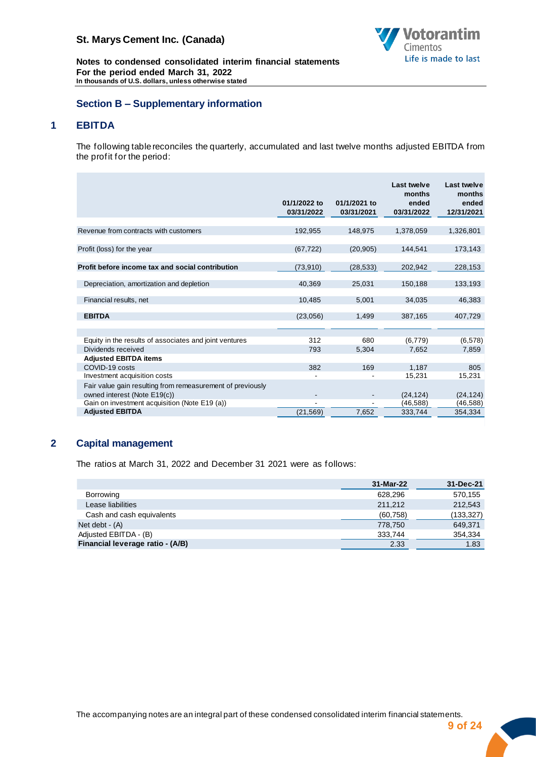

**Notes to condensed consolidated interim financial statements For the period ended March 31, 2022 In thousands of U.S. dollars, unless otherwise stated**

## <span id="page-9-0"></span>**Section B – Supplementary information**

# **1 EBITDA**

<span id="page-9-1"></span>The following table reconciles the quarterly, accumulated and last twelve months adjusted EBITDA from the profit for the period:

|                                                                                            | 01/1/2022 to<br>03/31/2022 | 01/1/2021 to<br>03/31/2021 | Last twelve<br>months<br>ended<br>03/31/2022 | Last twelve<br>months<br>ended<br>12/31/2021 |
|--------------------------------------------------------------------------------------------|----------------------------|----------------------------|----------------------------------------------|----------------------------------------------|
| Revenue from contracts with customers                                                      | 192,955                    | 148,975                    | 1,378,059                                    | 1,326,801                                    |
| Profit (loss) for the year                                                                 | (67, 722)                  | (20, 905)                  | 144,541                                      | 173,143                                      |
| Profit before income tax and social contribution                                           | (73,910)                   | (28, 533)                  | 202,942                                      | 228,153                                      |
| Depreciation, amortization and depletion                                                   | 40,369                     | 25,031                     | 150,188                                      | 133,193                                      |
| Financial results, net                                                                     | 10.485                     | 5,001                      | 34.035                                       | 46,383                                       |
| <b>EBITDA</b>                                                                              | (23,056)                   | 1,499                      | 387,165                                      | 407,729                                      |
|                                                                                            |                            |                            |                                              |                                              |
| Equity in the results of associates and joint ventures<br>Dividends received               | 312<br>793                 | 680<br>5,304               | (6,779)<br>7,652                             | (6, 578)<br>7,859                            |
| <b>Adjusted EBITDA items</b>                                                               |                            |                            |                                              |                                              |
| COVID-19 costs                                                                             | 382                        | 169                        | 1.187                                        | 805                                          |
| Investment acquisition costs                                                               |                            |                            | 15,231                                       | 15,231                                       |
| Fair value gain resulting from remeasurement of previously<br>owned interest (Note E19(c)) |                            |                            | (24, 124)                                    | (24, 124)                                    |
| Gain on investment acquisition (Note E19 (a))                                              |                            |                            | (46,588)                                     | (46, 588)                                    |
| <b>Adjusted EBITDA</b>                                                                     | (21, 569)                  | 7,652                      | 333,744                                      | 354,334                                      |

# **2 Capital management**

<span id="page-9-2"></span>The ratios at March 31, 2022 and December 31 2021 were as follows:

|                                  | 31-Mar-22 | 31-Dec-21  |
|----------------------------------|-----------|------------|
| Borrowing                        | 628.296   | 570,155    |
| Lease liabilities                | 211.212   | 212,543    |
| Cash and cash equivalents        | (60, 758) | (133, 327) |
| Net debt $ (A)$                  | 778.750   | 649,371    |
| Adjusted EBITDA - (B)            | 333,744   | 354,334    |
| Financial leverage ratio - (A/B) | 2.33      | 1.83       |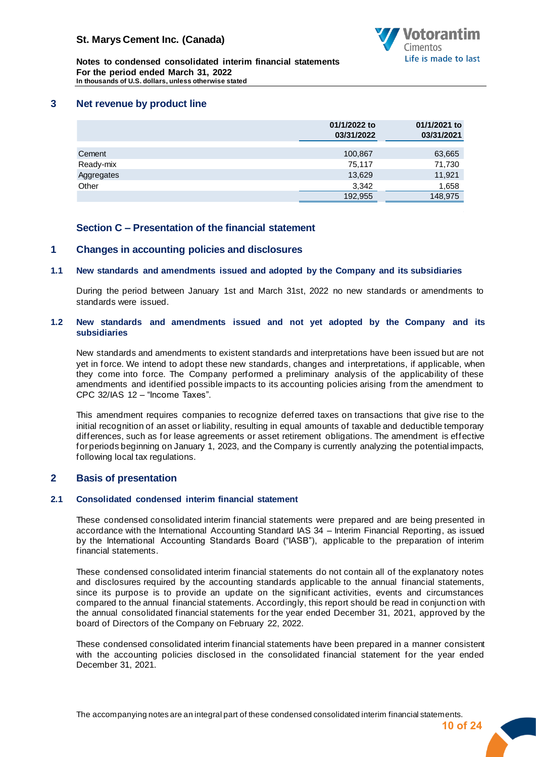

**Notes to condensed consolidated interim financial statements For the period ended March 31, 2022 In thousands of U.S. dollars, unless otherwise stated**

#### **3 Net revenue by product line**

<span id="page-10-0"></span>

|            | 01/1/2022 to<br>03/31/2022 | 01/1/2021 to<br>03/31/2021 |
|------------|----------------------------|----------------------------|
|            |                            |                            |
| Cement     | 100,867                    | 63,665                     |
| Ready-mix  | 75,117                     | 71,730                     |
| Aggregates | 13,629                     | 11,921                     |
| Other      | 3,342                      | 1,658                      |
|            | 192,955                    | 148,975                    |

#### <span id="page-10-2"></span><span id="page-10-1"></span>**Section C – Presentation of the financial statement**

#### **1 Changes in accounting policies and disclosures**

#### **1.1 New standards and amendments issued and adopted by the Company and its subsidiaries**

During the period between January 1st and March 31st, 2022 no new standards or amendments to standards were issued.

#### **1.2 New standards and amendments issued and not yet adopted by the Company and its subsidiaries**

New standards and amendments to existent standards and interpretations have been issued but are not yet in force. We intend to adopt these new standards, changes and interpretations, if applicable, when they come into force. The Company performed a preliminary analysis of the applicability of these amendments and identified possible impacts to its accounting policies arising from the amendment to CPC 32/IAS 12 – "Income Taxes".

This amendment requires companies to recognize deferred taxes on transactions that give rise to the initial recognition of an asset or liability, resulting in equal amounts of taxable and deductible temporary differences, such as for lease agreements or asset retirement obligations. The amendment is effective for periods beginning on January 1, 2023, and the Company is currently analyzing the potential impacts, following local tax regulations.

## <span id="page-10-3"></span>**2 Basis of presentation**

#### **2.1 Consolidated condensed interim financial statement**

These condensed consolidated interim financial statements were prepared and are being presented in accordance with the International Accounting Standard IAS 34 – Interim Financial Reporting, as issued by the International Accounting Standards Board ("IASB"), applicable to the preparation of interim financial statements.

These condensed consolidated interim financial statements do not contain all of the explanatory notes and disclosures required by the accounting standards applicable to the annual financial statements, since its purpose is to provide an update on the significant activities, events and circumstances compared to the annual financial statements. Accordingly, this report should be read in conjunction with the annual consolidated financial statements for the year ended December 31, 2021, approved by the board of Directors of the Company on February 22, 2022.

These condensed consolidated interim financial statements have been prepared in a manner consistent with the accounting policies disclosed in the consolidated financial statement for the year ended December 31, 2021.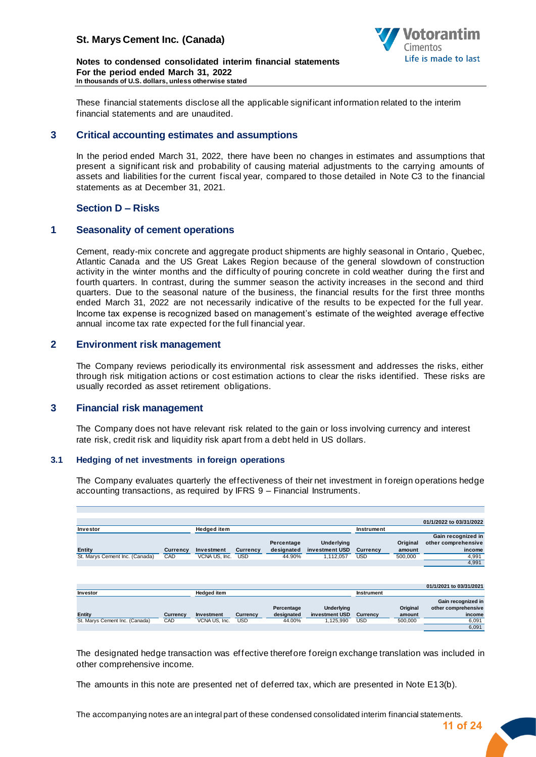

**Notes to condensed consolidated interim financial statements For the period ended March 31, 2022 In thousands of U.S. dollars, unless otherwise stated**

These financial statements disclose all the applicable significant information related to the interim financial statements and are unaudited.

#### **3 Critical accounting estimates and assumptions**

<span id="page-11-0"></span>In the period ended March 31, 2022, there have been no changes in estimates and assumptions that present a significant risk and probability of causing material adjustments to the carrying amounts of assets and liabilities for the current fiscal year, compared to those detailed in Note C3 to the financial statements as at December 31, 2021.

## <span id="page-11-1"></span>**Section D – Risks**

#### **1 Seasonality of cement operations**

<span id="page-11-2"></span>Cement, ready-mix concrete and aggregate product shipments are highly seasonal in Ontario, Quebec, Atlantic Canada and the US Great Lakes Region because of the general slowdown of construction activity in the winter months and the difficulty of pouring concrete in cold weather during the first and fourth quarters. In contrast, during the summer season the activity increases in the second and third quarters. Due to the seasonal nature of the business, the financial results for the first three months ended March 31, 2022 are not necessarily indicative of the results to be expected for the full year. Income tax expense is recognized based on management's estimate of the weighted average effective annual income tax rate expected for the full financial year.

#### **2 Environment risk management**

<span id="page-11-3"></span>The Company reviews periodically its environmental risk assessment and addresses the risks, either through risk mitigation actions or cost estimation actions to clear the risks identified. These risks are usually recorded as asset retirement obligations.

## **3 Financial risk management**

<span id="page-11-4"></span>The Company does not have relevant risk related to the gain or loss involving currency and interest rate risk, credit risk and liquidity risk apart from a debt held in US dollars.

#### **3.1 Hedging of net investments in foreign operations**

The Company evaluates quarterly the effectiveness of their net investment in foreign operations hedge accounting transactions, as required by IFRS 9 – Financial Instruments.

|                                |                 |                    |            |            |                   |            |          | 01/1/2022 to 03/31/2022 |
|--------------------------------|-----------------|--------------------|------------|------------|-------------------|------------|----------|-------------------------|
| Investor                       |                 | <b>Hedged item</b> |            |            |                   | Instrument |          |                         |
|                                |                 |                    |            |            |                   |            |          |                         |
|                                |                 |                    |            |            |                   |            |          | Gain recognized in      |
|                                |                 |                    |            | Percentage | Underlying        |            | Original | other comprehensive     |
| <b>Entity</b>                  | Currency        | Investment         | Currency   | designated | investment USD    | Currency   | amount   | income                  |
| St. Marys Cement Inc. (Canada) | CAD             | VCNA US, Inc.      | <b>USD</b> | 44.90%     | 1,112,057         | USD        | 500,000  | 4,991                   |
|                                |                 |                    |            |            |                   |            |          | 4,991                   |
|                                |                 |                    |            |            |                   |            |          |                         |
|                                |                 |                    |            |            |                   |            |          |                         |
|                                |                 |                    |            |            |                   |            |          |                         |
|                                |                 |                    |            |            |                   |            |          |                         |
|                                |                 |                    |            |            |                   |            |          | 01/1/2021 to 03/31/2021 |
| Investor                       |                 | <b>Hedged item</b> |            |            |                   | Instrument |          |                         |
|                                |                 |                    |            |            |                   |            |          | Gain recognized in      |
|                                |                 |                    |            |            |                   |            |          |                         |
|                                |                 |                    |            | Percentage | <b>Underlying</b> |            | Original | other comprehensive     |
| <b>Entity</b>                  | <b>Currency</b> | Investment         | Currency   | designated | investment USD    | Currency   | amount   | income                  |
| St. Marys Cement Inc. (Canada) | CAD             | VCNA US. Inc.      | <b>USD</b> | 44.00%     | 1,125,990         | <b>USD</b> | 500,000  | 6,091                   |
|                                |                 |                    |            |            |                   |            |          | 6,091                   |
|                                |                 |                    |            |            |                   |            |          |                         |

The designated hedge transaction was effective therefore foreign exchange translation was included in other comprehensive income.

The amounts in this note are presented net of deferred tax, which are presented in Note E13(b).

The accompanying notes are an integral part of these condensed consolidated interim financial statements.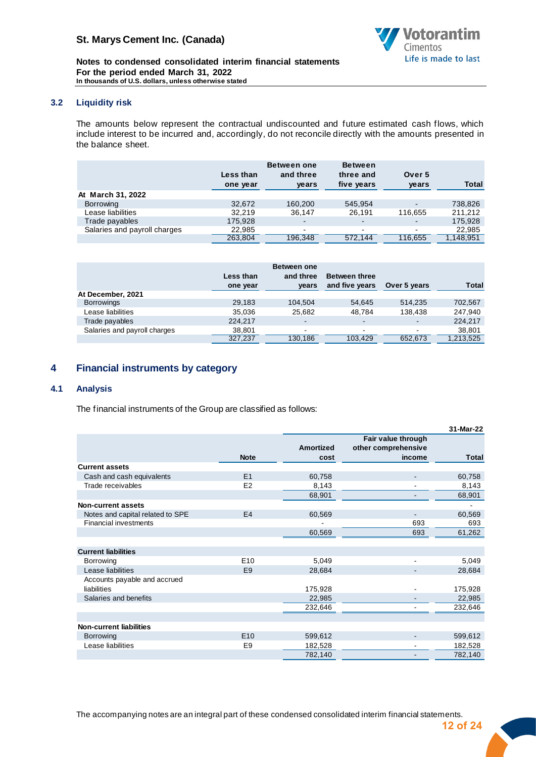

**Notes to condensed consolidated interim financial statements For the period ended March 31, 2022 In thousands of U.S. dollars, unless otherwise stated**

#### **3.2 Liquidity risk**

The amounts below represent the contractual undiscounted and future estimated cash flows, which include interest to be incurred and, accordingly, do not reconcile directly with the amounts presented in the balance sheet.

|                              | Less than<br>one year | <b>Between one</b><br>and three<br>years | <b>Between</b><br>three and<br>five years | Over 5<br>years | <b>Total</b> |
|------------------------------|-----------------------|------------------------------------------|-------------------------------------------|-----------------|--------------|
| At March 31, 2022            |                       |                                          |                                           |                 |              |
| Borrowing                    | 32.672                | 160,200                                  | 545.954                                   |                 | 738,826      |
| Lease liabilities            | 32.219                | 36.147                                   | 26.191                                    | 116.655         | 211.212      |
| Trade payables               | 175,928               | $\blacksquare$                           | $\overline{\phantom{a}}$                  | $\blacksquare$  | 175,928      |
| Salaries and payroll charges | 22,985                | $\overline{\phantom{0}}$                 | $\blacksquare$                            | $\blacksquare$  | 22,985       |
|                              | 263,804               | 196,348                                  | 572,144                                   | 116,655         | 1,148,951    |

|                              |           | <b>Between one</b> |                      |                          |              |
|------------------------------|-----------|--------------------|----------------------|--------------------------|--------------|
|                              | Less than | and three          | <b>Between three</b> |                          |              |
|                              | one year  | years              | and five years       | Over 5 years             | <b>Total</b> |
| At December, 2021            |           |                    |                      |                          |              |
| <b>Borrowings</b>            | 29.183    | 104.504            | 54.645               | 514.235                  | 702,567      |
| Lease liabilities            | 35.036    | 25,682             | 48.784               | 138.438                  | 247,940      |
| Trade payables               | 224.217   |                    | $\blacksquare$       | $\overline{\phantom{a}}$ | 224,217      |
| Salaries and payroll charges | 38.801    | $\sim$             | $\blacksquare$       | $\sim$                   | 38,801       |
|                              | 327,237   | 130.186            | 103.429              | 652.673                  | 1,213,525    |

## <span id="page-12-0"></span>**4 Financial instruments by category**

#### **4.1 Analysis**

The financial instruments of the Group are classified as follows:

|                                  |                 |                  |                     | 31-Mar-22    |
|----------------------------------|-----------------|------------------|---------------------|--------------|
|                                  |                 |                  | Fair value through  |              |
|                                  |                 | <b>Amortized</b> | other comprehensive |              |
|                                  | <b>Note</b>     | cost             | income              | <b>Total</b> |
| <b>Current assets</b>            |                 |                  |                     |              |
| Cash and cash equivalents        | E1              | 60,758           |                     | 60,758       |
| Trade receivables                | E <sub>2</sub>  | 8,143            |                     | 8,143        |
|                                  |                 | 68,901           |                     | 68,901       |
| Non-current assets               |                 |                  |                     |              |
| Notes and capital related to SPE | E4              | 60,569           |                     | 60,569       |
| <b>Financial investments</b>     |                 |                  | 693                 | 693          |
|                                  |                 | 60,569           | 693                 | 61,262       |
|                                  |                 |                  |                     |              |
| <b>Current liabilities</b>       |                 |                  |                     |              |
| Borrowing                        | E <sub>10</sub> | 5,049            |                     | 5,049        |
| Lease liabilities                | E <sub>9</sub>  | 28,684           |                     | 28,684       |
| Accounts payable and accrued     |                 |                  |                     |              |
| liabilities                      |                 | 175,928          |                     | 175,928      |
| Salaries and benefits            |                 | 22,985           |                     | 22,985       |
|                                  |                 | 232,646          |                     | 232,646      |
|                                  |                 |                  |                     |              |
| <b>Non-current liabilities</b>   |                 |                  |                     |              |
| Borrowing                        | E <sub>10</sub> | 599,612          |                     | 599,612      |
| Lease liabilities                | E <sub>9</sub>  | 182,528          |                     | 182,528      |
|                                  |                 | 782,140          |                     | 782,140      |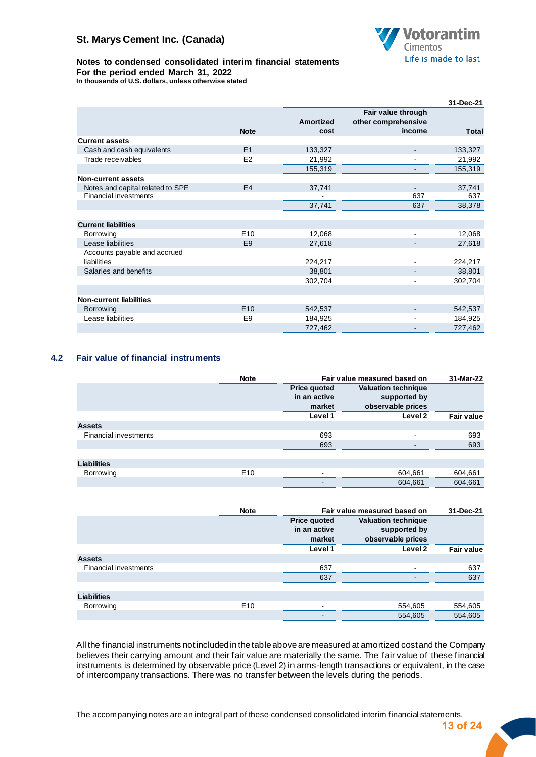

#### **Notes to condensed consolidated interim financial statements For the period ended March 31, 2022 In thousands of U.S. dollars, unless otherwise stated**

|                                  |                 |                  |                                           | 31-Dec-21 |
|----------------------------------|-----------------|------------------|-------------------------------------------|-----------|
|                                  |                 | <b>Amortized</b> | Fair value through<br>other comprehensive |           |
|                                  | <b>Note</b>     | cost             | income                                    | Total     |
| <b>Current assets</b>            |                 |                  |                                           |           |
| Cash and cash equivalents        | E1              | 133,327          |                                           | 133,327   |
| Trade receivables                | E <sub>2</sub>  | 21,992           |                                           | 21,992    |
|                                  |                 | 155,319          |                                           | 155,319   |
| <b>Non-current assets</b>        |                 |                  |                                           |           |
| Notes and capital related to SPE | E <sub>4</sub>  | 37,741           |                                           | 37,741    |
| <b>Financial investments</b>     |                 |                  | 637                                       | 637       |
|                                  |                 | 37,741           | 637                                       | 38,378    |
|                                  |                 |                  |                                           |           |
| <b>Current liabilities</b>       |                 |                  |                                           |           |
| Borrowing                        | E <sub>10</sub> | 12,068           |                                           | 12,068    |
| Lease liabilities                | E <sub>9</sub>  | 27,618           |                                           | 27,618    |
| Accounts payable and accrued     |                 |                  |                                           |           |
| liabilities                      |                 | 224,217          |                                           | 224,217   |
| Salaries and benefits            |                 | 38,801           |                                           | 38,801    |
|                                  |                 | 302,704          |                                           | 302,704   |
|                                  |                 |                  |                                           |           |
| <b>Non-current liabilities</b>   |                 |                  |                                           |           |
| Borrowing                        | E <sub>10</sub> | 542,537          |                                           | 542,537   |
| Lease liabilities                | E <sub>9</sub>  | 184,925          |                                           | 184,925   |
|                                  |                 | 727,462          |                                           | 727,462   |

## **4.2 Fair value of financial instruments**

|                              | <b>Note</b>     |                     | Fair value measured based on | 31-Mar-22  |  |
|------------------------------|-----------------|---------------------|------------------------------|------------|--|
|                              |                 | <b>Price quoted</b> | <b>Valuation technique</b>   |            |  |
|                              |                 | in an active        | supported by                 |            |  |
|                              |                 | market              | observable prices            |            |  |
|                              |                 | Level 1             | Level 2                      | Fair value |  |
| <b>Assets</b>                |                 |                     |                              |            |  |
| <b>Financial investments</b> |                 | 693                 |                              | 693        |  |
|                              |                 | 693                 |                              | 693        |  |
|                              |                 |                     |                              |            |  |
| <b>Liabilities</b>           |                 |                     |                              |            |  |
| Borrowing                    | E <sub>10</sub> |                     | 604,661                      | 604,661    |  |
|                              |                 | -                   | 604,661                      | 604,661    |  |

|                              | <b>Note</b>     |                                               | Fair value measured based on                                    | 31-Dec-21         |
|------------------------------|-----------------|-----------------------------------------------|-----------------------------------------------------------------|-------------------|
|                              |                 | <b>Price quoted</b><br>in an active<br>market | <b>Valuation technique</b><br>supported by<br>observable prices |                   |
|                              |                 | Level 1                                       | Level 2                                                         | <b>Fair value</b> |
| <b>Assets</b>                |                 |                                               |                                                                 |                   |
| <b>Financial investments</b> |                 | 637                                           | -                                                               | 637               |
|                              |                 | 637                                           |                                                                 | 637               |
|                              |                 |                                               |                                                                 |                   |
| <b>Liabilities</b>           |                 |                                               |                                                                 |                   |
| Borrowing                    | E <sub>10</sub> | $\overline{\phantom{a}}$                      | 554,605                                                         | 554,605           |
|                              |                 | $\,$                                          | 554,605                                                         | 554,605           |

All the financial instruments notincluded in the table above are measured at amortized cost and the Company believes their carrying amount and their fair value are materially the same. The fair value of these financial instruments is determined by observable price (Level 2) in arms-length transactions or equivalent, in the case of intercompany transactions. There was no transfer between the levels during the periods.

The accompanying notes are an integral part of these condensed consolidated interim financial statements.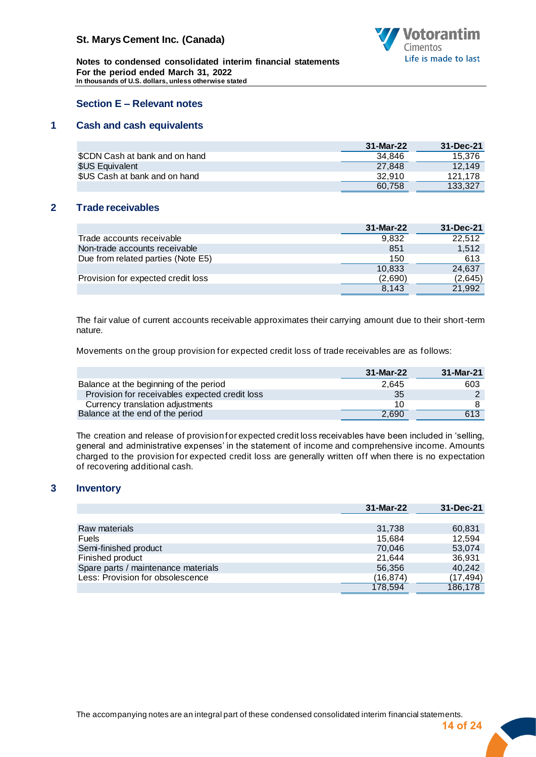

**Notes to condensed consolidated interim financial statements For the period ended March 31, 2022 In thousands of U.S. dollars, unless otherwise stated**

## <span id="page-14-0"></span>**Section E – Relevant notes**

## **1 Cash and cash equivalents**

<span id="page-14-1"></span>

|                                | 31-Mar-22 | 31-Dec-21 |
|--------------------------------|-----------|-----------|
| \$CDN Cash at bank and on hand | 34.846    | 15.376    |
| \$US Equivalent                | 27.848    | 12.149    |
| \$US Cash at bank and on hand  | 32.910    | 121.178   |
|                                | 60.758    | 133.327   |

## **2 Trade receivables**

<span id="page-14-2"></span>

|                                    | 31-Mar-22 | 31-Dec-21 |
|------------------------------------|-----------|-----------|
| Trade accounts receivable          | 9.832     | 22.512    |
| Non-trade accounts receivable      | 851       | 1.512     |
| Due from related parties (Note E5) | 150       | 613       |
|                                    | 10,833    | 24,637    |
| Provision for expected credit loss | (2,690)   | (2,645)   |
|                                    | 8.143     | 21.992    |

The fair value of current accounts receivable approximates their carrying amount due to their short-term nature.

Movements on the group provision for expected credit loss of trade receivables are as follows:

|                                                | 31-Mar-22 | 31-Mar-21 |
|------------------------------------------------|-----------|-----------|
| Balance at the beginning of the period         | 2.645     | 603       |
| Provision for receivables expected credit loss | 35        |           |
| Currency translation adjustments               | 10        |           |
| Balance at the end of the period               | 2.690     | 613       |

The creation and release of provision for expected credit loss receivables have been included in 'selling, general and administrative expenses' in the statement of income and comprehensive income. Amounts charged to the provision for expected credit loss are generally written off when there is no expectation of recovering additional cash.

## **3 Inventory**

<span id="page-14-3"></span>

|                                     | 31-Mar-22 | 31-Dec-21 |
|-------------------------------------|-----------|-----------|
|                                     |           |           |
| Raw materials                       | 31,738    | 60,831    |
| <b>Fuels</b>                        | 15.684    | 12.594    |
| Semi-finished product               | 70.046    | 53.074    |
| Finished product                    | 21.644    | 36,931    |
| Spare parts / maintenance materials | 56,356    | 40,242    |
| Less: Provision for obsolescence    | (16.874)  | (17, 494) |
|                                     | 178,594   | 186.178   |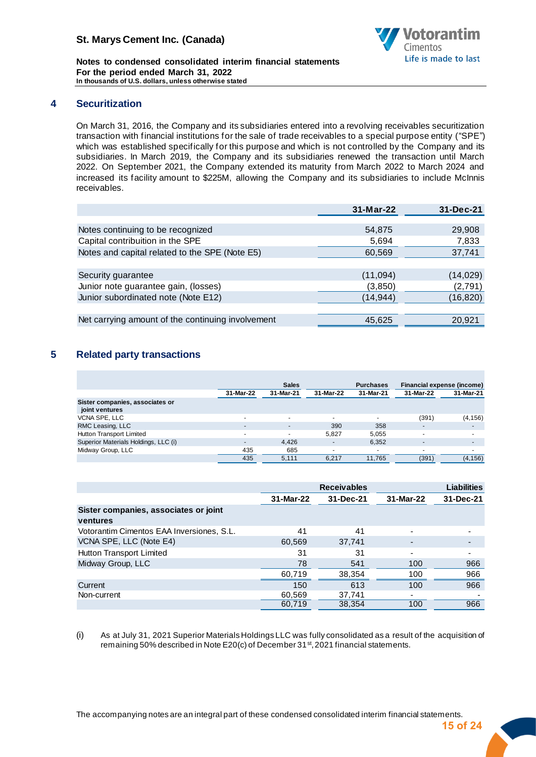

**Notes to condensed consolidated interim financial statements For the period ended March 31, 2022 In thousands of U.S. dollars, unless otherwise stated**

## **4 Securitization**

<span id="page-15-0"></span>On March 31, 2016, the Company and its subsidiaries entered into a revolving receivables securitization transaction with financial institutions for the sale of trade receivables to a special purpose entity ("SPE") which was established specifically for this purpose and which is not controlled by the Company and its subsidiaries. In March 2019, the Company and its subsidiaries renewed the transaction until March 2022. On September 2021, the Company extended its maturity from March 2022 to March 2024 and increased its facility amount to \$225M, allowing the Company and its subsidiaries to include McInnis receivables.

|                                                   | 31-Mar-22 | 31-Dec-21 |
|---------------------------------------------------|-----------|-----------|
|                                                   |           |           |
| Notes continuing to be recognized                 | 54,875    | 29,908    |
| Capital contribuition in the SPE                  | 5,694     | 7,833     |
| Notes and capital related to the SPE (Note E5)    | 60,569    | 37,741    |
|                                                   |           |           |
| Security guarantee                                | (11,094)  | (14, 029) |
| Junior note guarantee gain, (losses)              | (3,850)   | (2,791)   |
| Junior subordinated note (Note E12)               | (14,944)  | (16, 820) |
|                                                   |           |           |
| Net carrying amount of the continuing involvement | 45,625    | 20,921    |
|                                                   |           |           |

## <span id="page-15-1"></span>**5 Related party transactions**

|                                                   |                          | <b>Sales</b>             |                          | <b>Purchases</b> | Financial expense (income) |                          |
|---------------------------------------------------|--------------------------|--------------------------|--------------------------|------------------|----------------------------|--------------------------|
|                                                   | 31-Mar-22                | 31-Mar-21                | 31-Mar-22                | 31-Mar-21        | 31-Mar-22                  | 31-Mar-21                |
| Sister companies, associates or<br>joint ventures |                          |                          |                          |                  |                            |                          |
| VCNA SPE, LLC                                     | -                        | $\overline{\phantom{0}}$ | $\overline{\phantom{0}}$ |                  | (391)                      | (4, 156)                 |
| RMC Leasing, LLC                                  | $\overline{\phantom{a}}$ |                          | 390                      | 358              |                            | $\overline{\phantom{a}}$ |
| Hutton Transport Limited                          | $\sim$                   |                          | 5,827                    | 5,055            | $\overline{\phantom{a}}$   | $\overline{\phantom{a}}$ |
| Superior Materials Holdings, LLC (i)              | $\sim$                   | 4.426                    | $\overline{\phantom{a}}$ | 6,352            | ٠                          | $\overline{\phantom{a}}$ |
| Midway Group, LLC                                 | 435                      | 685                      | $\overline{\phantom{0}}$ |                  | ٠                          | $\blacksquare$           |
|                                                   | 435                      | 5.111                    | 6.217                    | 11.765           | (391)                      | (4, 156)                 |

|                                           |           | <b>Receivables</b> |           | <b>Liabilities</b> |
|-------------------------------------------|-----------|--------------------|-----------|--------------------|
|                                           | 31-Mar-22 | 31-Dec-21          | 31-Mar-22 | 31-Dec-21          |
| Sister companies, associates or joint     |           |                    |           |                    |
| ventures                                  |           |                    |           |                    |
| Votorantim Cimentos EAA Inversiones, S.L. | 41        | 41                 |           |                    |
| VCNA SPE, LLC (Note E4)                   | 60,569    | 37,741             |           |                    |
| Hutton Transport Limited                  | 31        | 31                 |           |                    |
| Midway Group, LLC                         | 78        | 541                | 100       | 966                |
|                                           | 60,719    | 38,354             | 100       | 966                |
| Current                                   | 150       | 613                | 100       | 966                |
| Non-current                               | 60,569    | 37,741             | ٠         |                    |
|                                           | 60,719    | 38,354             | 100       | 966                |

(i) As at July 31, 2021 Superior Materials Holdings LLC was fully consolidated as a result of the acquisition of remaining 50% described in Note E20(c) of December 31<sup>st</sup>, 2021 financial statements.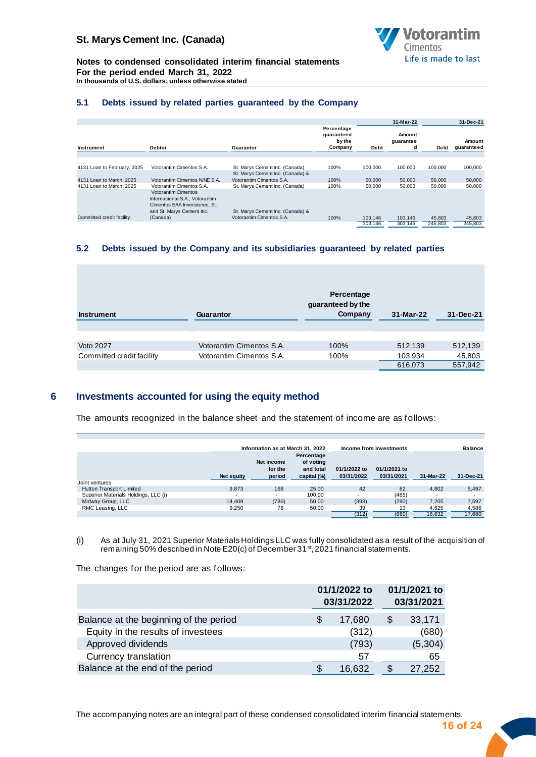

**Notes to condensed consolidated interim financial statements For the period ended March 31, 2022 In thousands of U.S. dollars, unless otherwise stated**

#### **5.1 Debts issued by related parties guaranteed by the Company**

|                             |                                                                                                                           |                                  |                                               |             | 31-Mar-22                |         | 31-Dec-21            |
|-----------------------------|---------------------------------------------------------------------------------------------------------------------------|----------------------------------|-----------------------------------------------|-------------|--------------------------|---------|----------------------|
| Instrument                  | <b>Debtor</b>                                                                                                             | Guarantor                        | Percentage<br>guaranteed<br>by the<br>Company | <b>Debt</b> | Amount<br>guarantee<br>a | Debt    | Amount<br>guaranteed |
|                             |                                                                                                                           |                                  |                                               |             |                          |         |                      |
| 4131 Loan to February, 2025 | Votorantim Cimentos S.A.                                                                                                  | St. Marys Cement Inc. (Canada)   | 100%                                          | 100.000     | 100,000                  | 100.000 | 100,000              |
|                             |                                                                                                                           | St. Marys Cement Inc. (Canada) & |                                               |             |                          |         |                      |
| 4131 Loan to March, 2025    | Votorantim Cimentos N/NE S.A.                                                                                             | Votorantim Cimentos S.A.         | 100%                                          | 50,000      | 50,000                   | 50,000  | 50,000               |
| 4131 Loan to March, 2025    | Votorantim Cimentos S.A.                                                                                                  | St. Marys Cement Inc. (Canada)   | 100%                                          | 50,000      | 50,000                   | 50,000  | 50,000               |
|                             | <b>Votorantim Cimentos</b><br>Internacional S.A., Votorantim<br>Cimentos EAA Inversiones, SL<br>and St. Marys Cement Inc. | St. Marys Cement Inc. (Canada) & |                                               |             |                          |         |                      |
| Committed credit facility   | (Canada)                                                                                                                  | Votorantim Cimentos S.A.         | 100%                                          | 103.146     | 103.146                  | 45,803  | 45,803               |
|                             |                                                                                                                           |                                  |                                               | 303.146     | 303.146                  | 245.803 | 245,803              |

#### **5.2 Debts issued by the Company and its subsidiaries guaranteed by related parties**

| 31-Dec-21 |
|-----------|
|           |
| 512,139   |
| 45,803    |
| 557,942   |
|           |

#### **6 Investments accounted for using the equity method**

<span id="page-16-0"></span>The amounts recognized in the balance sheet and the statement of income are as follows:

|                                      |            | Information as at March 31, 2022 |                                      |              | Income from investments | <b>Balance</b> |           |
|--------------------------------------|------------|----------------------------------|--------------------------------------|--------------|-------------------------|----------------|-----------|
|                                      |            | Net income<br>for the            | Percentage<br>of voting<br>and total | 01/1/2022 to | 01/1/2021 to            |                |           |
|                                      | Net equity | period                           | capital (%)                          | 03/31/2022   | 03/31/2021              | 31-Mar-22      | 31-Dec-21 |
| Joint ventures                       |            |                                  |                                      |              |                         |                |           |
| Hutton Transport Limited             | 9.873      | 168                              | 25.00                                | 42           | 82                      | 4.802          | 5,497     |
| Superior Materials Holdings, LLC (i) | -          | $\overline{\phantom{0}}$         | 100.00                               |              | (485)                   |                |           |
| Midway Group, LLC                    | 14.409     | (786)                            | 50.00                                | (393)        | (290)                   | 7.205          | 7,597     |
| RMC Leasing, LLC                     | 9,250      | 78                               | 50.00                                | 39           | 13                      | 4.625          | 4,586     |
|                                      |            |                                  |                                      | (312)        | (680)                   | 16.632         | 17.680    |

(i) As at July 31, 2021 Superior Materials Holdings LLC was fully consolidated as a result of the acquisition of remaining 50% described in Note E20(c) of December 31  $^{\rm st}$ , 2021 financial statements.

The changes for the period are as follows:

|                                        | 01/1/2022 to<br>03/31/2022 |        |   | 01/1/2021 to<br>03/31/2021 |
|----------------------------------------|----------------------------|--------|---|----------------------------|
| Balance at the beginning of the period | S                          | 17,680 | S | 33,171                     |
| Equity in the results of investees     |                            | (312)  |   | (680)                      |
| Approved dividends                     |                            | (793)  |   | (5,304)                    |
| Currency translation                   |                            | 57     |   | 65                         |
| Balance at the end of the period       |                            | 16,632 |   | 27,252                     |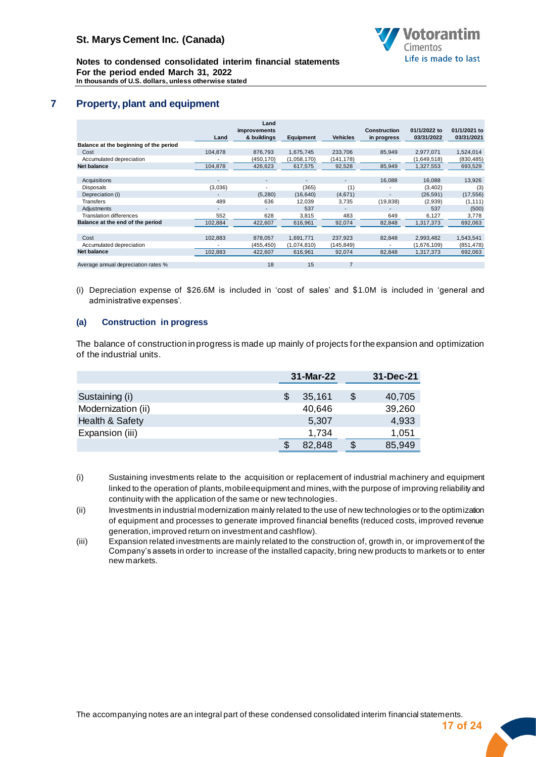

**Notes to condensed consolidated interim financial statements For the period ended March 31, 2022 In thousands of U.S. dollars, unless otherwise stated**

# **7 Property, plant and equipment**

<span id="page-17-0"></span>

|                                        |                          | Land                        |                          |                          |                                    |                            |                            |
|----------------------------------------|--------------------------|-----------------------------|--------------------------|--------------------------|------------------------------------|----------------------------|----------------------------|
|                                        | Land                     | improvements<br>& buildings | Equipment                | <b>Vehicles</b>          | <b>Construction</b><br>in progress | 01/1/2022 to<br>03/31/2022 | 01/1/2021 to<br>03/31/2021 |
| Balance at the beginning of the period |                          |                             |                          |                          |                                    |                            |                            |
| Cost                                   | 104.878                  | 876.793                     | 1,675,745                | 233,706                  | 85,949                             | 2.977.071                  | 1,524,014                  |
| Accumulated depreciation               | ٠                        | (450, 170)                  | (1,058,170)              | (141,178)                |                                    | (1,649,518)                | (830, 485)                 |
| <b>Net balance</b>                     | 104,878                  | 426,623                     | 617,575                  | 92,528                   | 85,949                             | 1,327,553                  | 693,529                    |
|                                        |                          |                             |                          |                          |                                    |                            |                            |
| Acquisitions                           | -                        | $\overline{\phantom{a}}$    | $\overline{\phantom{0}}$ | $\overline{\phantom{a}}$ | 16,088                             | 16,088                     | 13,926                     |
| <b>Disposals</b>                       | (3,036)                  | $\overline{\phantom{a}}$    | (365)                    | (1)                      | ٠                                  | (3, 402)                   | (3)                        |
| Depreciation (i)                       |                          | (5,280)                     | (16, 640)                | (4,671)                  |                                    | (26, 591)                  | (17, 556)                  |
| Transfers                              | 489                      | 636                         | 12,039                   | 3,735                    | (19, 838)                          | (2,939)                    | (1, 111)                   |
| Adjustments                            | $\overline{\phantom{a}}$ |                             | 537                      |                          |                                    | 537                        | (500)                      |
| <b>Translation differences</b>         | 552                      | 628                         | 3.815                    | 483                      | 649                                | 6.127                      | 3,778                      |
| Balance at the end of the period       | 102,884                  | 422,607                     | 616,961                  | 92,074                   | 82,848                             | 1,317,373                  | 692,063                    |
|                                        |                          |                             |                          |                          |                                    |                            |                            |
| Cost                                   | 102,883                  | 878.057                     | 1,691,771                | 237,923                  | 82,848                             | 2,993,482                  | 1,543,541                  |
| Accumulated depreciation               | ٠                        | (455, 450)                  | (1,074,810)              | (145,849)                |                                    | (1,676,109)                | (851, 478)                 |
| <b>Net balance</b>                     | 102,883                  | 422,607                     | 616,961                  | 92,074                   | 82,848                             | 1,317,373                  | 692,063                    |
|                                        |                          |                             |                          |                          |                                    |                            |                            |
| Average annual depreciation rates %    |                          | 18                          | 15                       | $\overline{7}$           |                                    |                            |                            |

(i) Depreciation expense of \$26.6M is included in 'cost of sales' and \$1.0M is included in 'general and administrative expenses'.

#### **(a) Construction in progress**

The balance of construction in progress is made up mainly of projects for the expansion and optimization of the industrial units.

|                    | 31-Mar-22 |   | $31 - Dec-21$ |
|--------------------|-----------|---|---------------|
|                    |           |   |               |
| Sustaining (i)     | 35,161    | S | 40,705        |
| Modernization (ii) | 40,646    |   | 39,260        |
| Health & Safety    | 5,307     |   | 4,933         |
| Expansion (iii)    | 1,734     |   | 1,051         |
|                    | 82,848    |   | 85,949        |

- (i) Sustaining investments relate to the acquisition or replacement of industrial machinery and equipment linked to the operation of plants, mobile equipment and mines, with the purpose of improving reliability and continuity with the application of the same or new technologies.
- (ii) Investments in industrial modernization mainly related to the use of new technologies or to the optimization of equipment and processes to generate improved financial benefits (reduced costs, improved revenue generation, improved return on investment and cashflow).
- (iii) Expansion related investments are mainly related to the construction of, growth in, or improvement of the Company's assets in order to increase of the installed capacity, bring new products to markets or to enter new markets.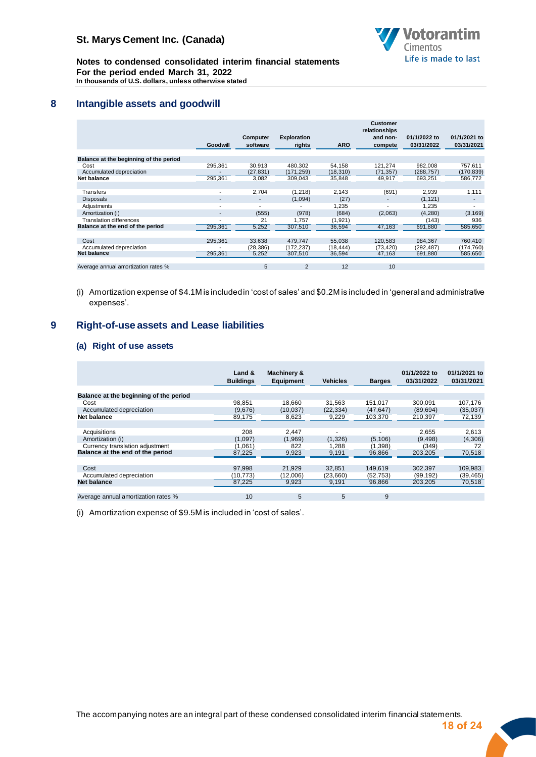

**Notes to condensed consolidated interim financial statements For the period ended March 31, 2022 In thousands of U.S. dollars, unless otherwise stated**

## **8 Intangible assets and goodwill**

<span id="page-18-0"></span>

|                                        | Goodwill                 | Computer<br>software     | <b>Exploration</b><br>rights | <b>ARO</b> | <b>Customer</b><br>relationships<br>and non-<br>compete | 01/1/2022 to<br>03/31/2022 | 01/1/2021 to<br>03/31/2021 |
|----------------------------------------|--------------------------|--------------------------|------------------------------|------------|---------------------------------------------------------|----------------------------|----------------------------|
|                                        |                          |                          |                              |            |                                                         |                            |                            |
| Balance at the beginning of the period |                          |                          |                              |            |                                                         |                            |                            |
| Cost                                   | 295,361                  | 30.913                   | 480.302                      | 54.158     | 121.274                                                 | 982.008                    | 757.611                    |
| Accumulated depreciation               |                          | (27, 831)                | (171, 259)                   | (18, 310)  | (71, 357)                                               | (288, 757)                 | (170, 839)                 |
| Net balance                            | 295,361                  | 3,082                    | 309,043                      | 35,848     | 49,917                                                  | 693,251                    | 586,772                    |
|                                        |                          |                          |                              |            |                                                         |                            |                            |
| Transfers                              | $\overline{\phantom{a}}$ | 2,704                    | (1, 218)                     | 2,143      | (691)                                                   | 2,939                      | 1,111                      |
| <b>Disposals</b>                       | $\overline{\phantom{a}}$ | $\overline{\phantom{a}}$ | (1,094)                      | (27)       | $\qquad \qquad \blacksquare$                            | (1, 121)                   | $\overline{\phantom{a}}$   |
| Adjustments                            | $\blacksquare$           | $\overline{\phantom{a}}$ |                              | 1,235      |                                                         | 1.235                      | ۰                          |
| Amortization (i)                       | $\overline{\phantom{a}}$ | (555)                    | (978)                        | (684)      | (2,063)                                                 | (4, 280)                   | (3, 169)                   |
| Translation differences                | $\overline{a}$           | 21                       | 1.757                        | (1, 921)   |                                                         | (143)                      | 936                        |
| Balance at the end of the period       | 295,361                  | 5,252                    | 307,510                      | 36,594     | 47,163                                                  | 691,880                    | 585,650                    |
|                                        |                          |                          |                              |            |                                                         |                            |                            |
| Cost                                   | 295,361                  | 33.638                   | 479.747                      | 55,038     | 120,583                                                 | 984.367                    | 760,410                    |
| Accumulated depreciation               |                          | (28, 386)                | (172,237)                    | (18,444)   | (73, 420)                                               | (292, 487)                 | (174, 760)                 |
| <b>Net balance</b>                     | 295,361                  | 5,252                    | 307,510                      | 36,594     | 47,163                                                  | 691,880                    | 585,650                    |
|                                        |                          |                          |                              |            |                                                         |                            |                            |
| Average annual amortization rates %    |                          | 5                        | $\overline{2}$               | 12         | 10                                                      |                            |                            |

(i) Amortization expense of \$4.1M is included in 'cost of sales' and \$0.2M is included in 'general and administrative expenses'.

## **9 Right-of-use assets and Lease liabilities**

#### <span id="page-18-1"></span>**(a) Right of use assets**

|                                        | Land &<br><b>Buildings</b> | <b>Machinery &amp;</b><br><b>Equipment</b> | <b>Vehicles</b> | <b>Barges</b> | 01/1/2022 to<br>03/31/2022 | 01/1/2021 to<br>03/31/2021 |
|----------------------------------------|----------------------------|--------------------------------------------|-----------------|---------------|----------------------------|----------------------------|
|                                        |                            |                                            |                 |               |                            |                            |
| Balance at the beginning of the period |                            |                                            |                 |               |                            |                            |
| Cost                                   | 98.851                     | 18.660                                     | 31.563          | 151.017       | 300.091                    | 107.176                    |
| Accumulated depreciation               | (9,676)                    | (10, 037)                                  | (22, 334)       | (47, 647)     | (89, 694)                  | (35,037)                   |
| Net balance                            | 89.175                     | 8.623                                      | 9.229           | 103.370       | 210.397                    | 72,139                     |
|                                        |                            |                                            |                 |               |                            |                            |
| Acquisitions                           | 208                        | 2.447                                      |                 |               | 2.655                      | 2,613                      |
| Amortization (i)                       | (1,097)                    | (1,969)                                    | (1,326)         | (5, 106)      | (9, 498)                   | (4,306)                    |
| Currency translation adjustment        | (1,061)                    | 822                                        | 1.288           | (1, 398)      | (349)                      | 72                         |
| Balance at the end of the period       | 87,225                     | 9,923                                      | 9,191           | 96,866        | 203.205                    | 70,518                     |
|                                        |                            |                                            |                 |               |                            |                            |
| Cost                                   | 97.998                     | 21.929                                     | 32.851          | 149.619       | 302.397                    | 109,983                    |
| Accumulated depreciation               | (10,773)                   | (12.006)                                   | (23,660)        | (52, 753)     | (99, 192)                  | (39, 465)                  |
| Net balance                            | 87,225                     | 9,923                                      | 9,191           | 96,866        | 203,205                    | 70,518                     |
|                                        |                            |                                            |                 |               |                            |                            |
| Average annual amortization rates %    | 10                         | 5                                          | 5               | 9             |                            |                            |

(i) Amortization expense of \$9.5M is included in 'cost of sales'.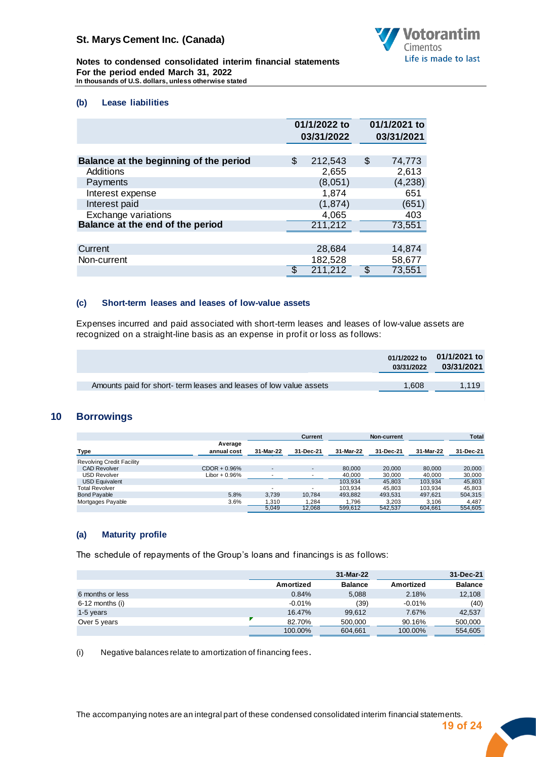

**Notes to condensed consolidated interim financial statements For the period ended March 31, 2022 In thousands of U.S. dollars, unless otherwise stated**

#### **(b) Lease liabilities**

|                                        | 01/1/2022 to<br>03/31/2022 |    | 01/1/2021 to<br>03/31/2021 |
|----------------------------------------|----------------------------|----|----------------------------|
|                                        |                            |    |                            |
| Balance at the beginning of the period | \$<br>212,543              | \$ | 74,773                     |
| Additions                              | 2,655                      |    | 2,613                      |
| Payments                               | (8,051)                    |    | (4, 238)                   |
| Interest expense                       | 1,874                      |    | 651                        |
| Interest paid                          | (1, 874)                   |    | (651)                      |
| Exchange variations                    | 4,065                      |    | 403                        |
| Balance at the end of the period       | 211,212                    |    | 73,551                     |
|                                        |                            |    |                            |
| Current                                | 28,684                     |    | 14,874                     |
| Non-current                            | 182,528                    |    | 58,677                     |
|                                        | \$<br>211,212              | \$ | 73,551                     |

#### **(c) Short-term leases and leases of low-value assets**

Expenses incurred and paid associated with short-term leases and leases of low-value assets are recognized on a straight-line basis as an expense in profit or loss as follows:

|                                                                    | 03/31/2022 | 01/1/2022 to 01/1/2021 to<br>03/31/2021 |
|--------------------------------------------------------------------|------------|-----------------------------------------|
| Amounts paid for short- term leases and leases of low value assets | 1.608      | 1.119                                   |
|                                                                    |            |                                         |

## **10 Borrowings**

<span id="page-19-0"></span>

|                                  |                        |           | Current                  |           | Non-current |           | <b>Total</b> |
|----------------------------------|------------------------|-----------|--------------------------|-----------|-------------|-----------|--------------|
| Type                             | Average<br>annual cost | 31-Mar-22 | 31-Dec-21                | 31-Mar-22 | 31-Dec-21   | 31-Mar-22 | 31-Dec-21    |
| <b>Revolving Credit Facility</b> |                        |           |                          |           |             |           |              |
| <b>CAD Revolver</b>              | $CDOR + 0.96\%$        | -         | $\overline{\phantom{a}}$ | 80.000    | 20,000      | 80,000    | 20,000       |
| <b>USD Revolver</b>              | Libor $+0.96%$         |           | $\overline{\phantom{a}}$ | 40.000    | 30,000      | 40,000    | 30,000       |
| <b>USD Equivalent</b>            |                        |           |                          | 103.934   | 45.803      | 103.934   | 45.803       |
| Total Revolver                   |                        | -         | $\overline{\phantom{a}}$ | 103.934   | 45.803      | 103.934   | 45.803       |
| <b>Bond Payable</b>              | 5.8%                   | 3.739     | 10.784                   | 493.882   | 493,531     | 497.621   | 504,315      |
| Mortgages Payable                | 3.6%                   | 1.310     | 1.284                    | 1.796     | 3.203       | 3.106     | 4.487        |
|                                  |                        | 5.049     | 12.068                   | 599.612   | 542.537     | 604.661   | 554.605      |

## **(a) Maturity profile**

The schedule of repayments of the Group's loans and financings is as follows:

|                   |           | 31-Mar-22      |           | 31-Dec-21      |
|-------------------|-----------|----------------|-----------|----------------|
|                   | Amortized | <b>Balance</b> | Amortized | <b>Balance</b> |
| 6 months or less  | 0.84%     | 5,088          | 2.18%     | 12,108         |
| $6-12$ months (i) | $-0.01%$  | (39)           | $-0.01%$  | (40)           |
| 1-5 years         | 16.47%    | 99.612         | 7.67%     | 42,537         |
| Over 5 years      | 82.70%    | 500,000        | 90.16%    | 500,000        |
|                   | 100.00%   | 604,661        | 100.00%   | 554,605        |

(i) Negative balances relate to amortization of financing fees.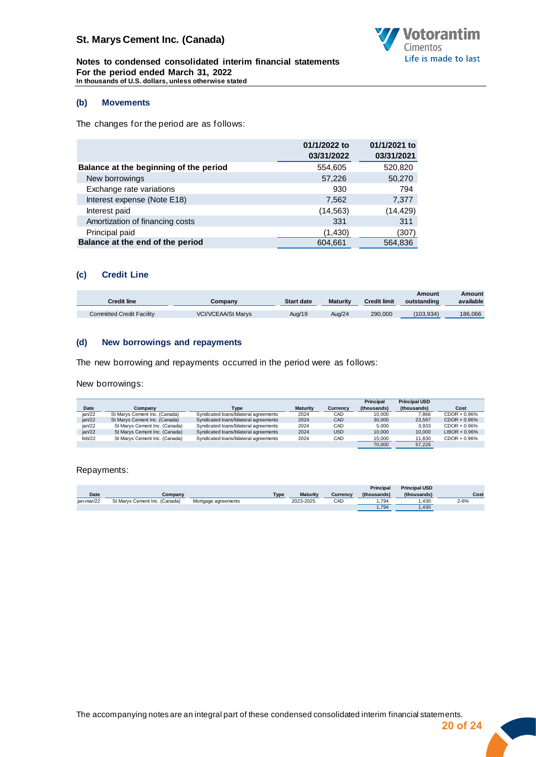

**Notes to condensed consolidated interim financial statements For the period ended March 31, 2022 In thousands of U.S. dollars, unless otherwise stated**

#### **(b) Movements**

The changes for the period are as follows:

|                                        | 01/1/2022 to<br>03/31/2022 | 01/1/2021 to<br>03/31/2021 |
|----------------------------------------|----------------------------|----------------------------|
| Balance at the beginning of the period | 554,605                    | 520,820                    |
| New borrowings                         | 57,226                     | 50,270                     |
| Exchange rate variations               | 930                        | 794                        |
| Interest expense (Note E18)            | 7,562                      | 7,377                      |
| Interest paid                          | (14, 563)                  | (14, 429)                  |
| Amortization of financing costs        | 331                        | 311                        |
| Principal paid                         | (1,430)                    | (307)                      |
| Balance at the end of the period       | 604,661                    | 564,836                    |

#### **(c) Credit Line**

| <b>Credit line</b>        | Company                   | <b>Start date</b> | <b>Maturity</b> | Credit limit | Amount<br>outstanding | Amount<br>available |
|---------------------------|---------------------------|-------------------|-----------------|--------------|-----------------------|---------------------|
| Committed Credit Facility | <b>VCI/VCEAA/St Marvs</b> | Aug/19            | Aug/24          | 290,000      | (103.934)             | 186.066             |

#### **(d) New borrowings and repayments**

The new borrowing and repayments occurred in the period were as follows:

New borrowings:

|        |                               |                                       |                 |            | Principal   | <b>Principal USD</b> |                  |
|--------|-------------------------------|---------------------------------------|-----------------|------------|-------------|----------------------|------------------|
| Date   | Company                       | Type                                  | <b>Maturity</b> | Currencv   | (thousands) | (thousands)          | Cost             |
| ian/22 | St Marvs Cement Inc. (Canada) | Syndicated loans/bilateral agreements | 2024            | CAD        | 10.000      | 7.866                | $CDOR + 0.96%$   |
| jan/22 | St Marys Cement Inc. (Canada) | Syndicated loans/bilateral agreements | 2024            | CAD        | 30,000      | 23.597               | $CDOR + 0.96\%$  |
| ian/22 | St Marys Cement Inc. (Canada) | Syndicated loans/bilateral agreements | 2024            | CAD        | 5.000       | 3.933                | $CDOR + 0.96%$   |
| jan/22 | St Marys Cement Inc. (Canada) | Syndicated loans/bilateral agreements | 2024            | <b>USD</b> | 10.000      | 10.000               | $LIBOR + 0.96\%$ |
| feb/22 | St Marys Cement Inc. (Canada) | Syndicated loans/bilateral agreements | 2024            | CAD        | 15.000      | 11,830               | $CDOR + 0.96\%$  |
|        |                               |                                       |                 |            | 70.000      | 57.226               |                  |

Repayments:

|            |                               |                     |             |                 |          | <b>Principal</b> | <b>Principal USD</b> |      |
|------------|-------------------------------|---------------------|-------------|-----------------|----------|------------------|----------------------|------|
| Date       | $\mathcal{L}$ ompany          |                     | <b>Type</b> | <b>Maturity</b> | Currencv | (thousands)      | (thousands)          | Cost |
| ian-mar/22 | St Marys Cement Inc. (Canada) | Mortgage agreements |             | 2023-2025       | CAD      | .794             | .430                 | 2-6% |
|            |                               |                     |             |                 |          | .794             | .430                 |      |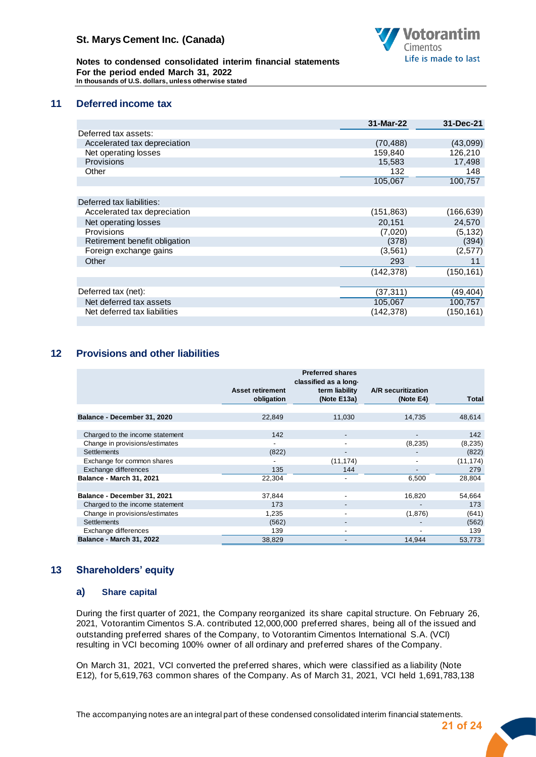

**Notes to condensed consolidated interim financial statements For the period ended March 31, 2022 In thousands of U.S. dollars, unless otherwise stated**

## **11 Deferred income tax**

<span id="page-21-0"></span>

|                               | 31-Mar-22  | 31-Dec-21  |
|-------------------------------|------------|------------|
| Deferred tax assets:          |            |            |
| Accelerated tax depreciation  | (70, 488)  | (43,099)   |
| Net operating losses          | 159,840    | 126,210    |
| <b>Provisions</b>             | 15,583     | 17,498     |
| Other                         | 132        | 148        |
|                               | 105,067    | 100,757    |
|                               |            |            |
| Deferred tax liabilities:     |            |            |
| Accelerated tax depreciation  | (151, 863) | (166, 639) |
| Net operating losses          | 20,151     | 24,570     |
| Provisions                    | (7,020)    | (5, 132)   |
| Retirement benefit obligation | (378)      | (394)      |
| Foreign exchange gains        | (3, 561)   | (2,577)    |
| Other                         | 293        | 11         |
|                               | (142, 378) | (150, 161) |
|                               |            |            |
| Deferred tax (net):           | (37, 311)  | (49,404)   |
| Net deferred tax assets       | 105,067    | 100,757    |
| Net deferred tax liabilities  | (142, 378) | (150, 161) |
|                               |            |            |

## **12 Provisions and other liabilities**

<span id="page-21-1"></span>

|                                 | <b>Asset retirement</b><br>obligation | <b>Preferred shares</b><br>classified as a long-<br>term liability<br>(Note E13a) | A/R securitization<br>(Note E4) | <b>Total</b> |
|---------------------------------|---------------------------------------|-----------------------------------------------------------------------------------|---------------------------------|--------------|
|                                 |                                       |                                                                                   |                                 |              |
| Balance - December 31, 2020     | 22,849                                | 11,030                                                                            | 14,735                          | 48,614       |
| Charged to the income statement | 142                                   |                                                                                   |                                 | 142          |
| Change in provisions/estimates  | $\overline{\phantom{a}}$              | ۰                                                                                 | (8, 235)                        | (8, 235)     |
| <b>Settlements</b>              | (822)                                 |                                                                                   |                                 | (822)        |
| Exchange for common shares      |                                       | (11, 174)                                                                         |                                 | (11, 174)    |
| Exchange differences            | 135                                   | 144                                                                               | -                               | 279          |
| Balance - March 31, 2021        | 22,304                                |                                                                                   | 6,500                           | 28,804       |
|                                 |                                       |                                                                                   |                                 |              |
| Balance - December 31, 2021     | 37,844                                | -                                                                                 | 16,820                          | 54,664       |
| Charged to the income statement | 173                                   |                                                                                   |                                 | 173          |
| Change in provisions/estimates  | 1,235                                 |                                                                                   | (1,876)                         | (641)        |
| <b>Settlements</b>              | (562)                                 |                                                                                   |                                 | (562)        |
| Exchange differences            | 139                                   | ٠                                                                                 |                                 | 139          |
| <b>Balance - March 31, 2022</b> | 38,829                                |                                                                                   | 14,944                          | 53,773       |

## **13 Shareholders' equity**

#### <span id="page-21-2"></span>**a) Share capital**

During the first quarter of 2021, the Company reorganized its share capital structure. On February 26, 2021, Votorantim Cimentos S.A. contributed 12,000,000 preferred shares, being all of the issued and outstanding preferred shares of the Company, to Votorantim Cimentos International S.A. (VCI) resulting in VCI becoming 100% owner of all ordinary and preferred shares of the Company.

On March 31, 2021, VCI converted the preferred shares, which were classified as a liability (Note E12), for 5,619,763 common shares of the Company. As of March 31, 2021, VCI held 1,691,783,138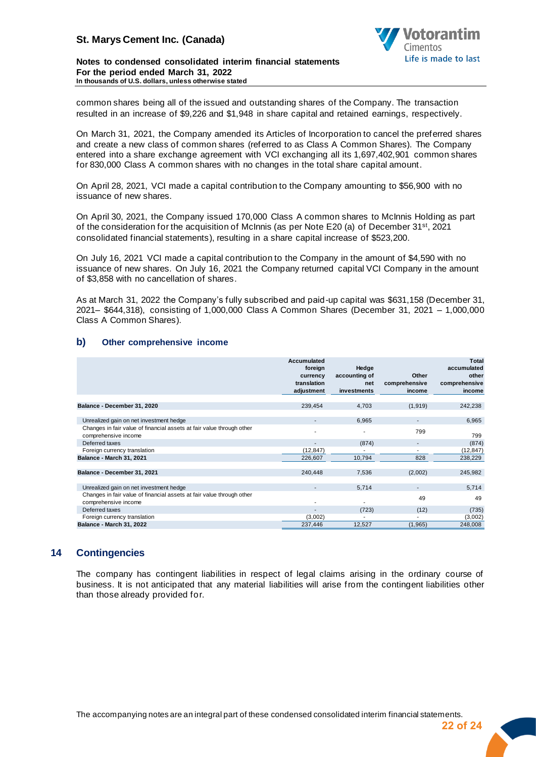

#### **Notes to condensed consolidated interim financial statements For the period ended March 31, 2022 In thousands of U.S. dollars, unless otherwise stated**

common shares being all of the issued and outstanding shares of the Company. The transaction resulted in an increase of \$9,226 and \$1,948 in share capital and retained earnings, respectively.

On March 31, 2021, the Company amended its Articles of Incorporation to cancel the preferred shares and create a new class of common shares (referred to as Class A Common Shares). The Company entered into a share exchange agreement with VCI exchanging all its 1,697,402,901 common shares for 830,000 Class A common shares with no changes in the total share capital amount.

On April 28, 2021, VCI made a capital contribution to the Company amounting to \$56,900 with no issuance of new shares.

On April 30, 2021, the Company issued 170,000 Class A common shares to McInnis Holding as part of the consideration for the acquisition of McInnis (as per Note E20 (a) of December 31st, 2021 consolidated financial statements), resulting in a share capital increase of \$523,200.

On July 16, 2021 VCI made a capital contribution to the Company in the amount of \$4,590 with no issuance of new shares. On July 16, 2021 the Company returned capital VCI Company in the amount of \$3,858 with no cancellation of shares.

As at March 31, 2022 the Company's fully subscribed and paid-up capital was \$631,158 (December 31, 2021– \$644,318), consisting of 1,000,000 Class A Common Shares (December 31, 2021 – 1,000,000 Class A Common Shares).

#### **b) Other comprehensive income**

|                                                                                               | Accumulated<br>foreign<br>currency<br>translation<br>adjustment | Hedge<br>accounting of<br>net<br>investments | Other<br>comprehensive<br>income | Total<br>accumulated<br>other<br>comprehensive<br>income |
|-----------------------------------------------------------------------------------------------|-----------------------------------------------------------------|----------------------------------------------|----------------------------------|----------------------------------------------------------|
| Balance - December 31, 2020                                                                   | 239,454                                                         | 4,703                                        | (1,919)                          | 242,238                                                  |
| Unrealized gain on net investment hedge                                                       | $\blacksquare$                                                  | 6,965                                        | ٠                                | 6,965                                                    |
| Changes in fair value of financial assets at fair value through other<br>comprehensive income |                                                                 |                                              | 799                              | 799                                                      |
| Deferred taxes                                                                                |                                                                 | (874)                                        | $\overline{\phantom{a}}$         | (874)                                                    |
| Foreign currency translation                                                                  | (12, 847)                                                       |                                              |                                  | (12, 847)                                                |
| Balance - March 31, 2021                                                                      | 226,607                                                         | 10,794                                       | 828                              | 238,229                                                  |
| Balance - December 31, 2021                                                                   | 240.448                                                         | 7,536                                        | (2,002)                          | 245,982                                                  |
| Unrealized gain on net investment hedge                                                       |                                                                 | 5,714                                        | ٠                                | 5,714                                                    |
| Changes in fair value of financial assets at fair value through other<br>comprehensive income |                                                                 |                                              | 49                               | 49                                                       |
| Deferred taxes                                                                                |                                                                 | (723)                                        | (12)                             | (735)                                                    |
| Foreign currency translation                                                                  | (3,002)                                                         |                                              |                                  | (3,002)                                                  |
| Balance - March 31, 2022                                                                      | 237,446                                                         | 12,527                                       | (1,965)                          | 248,008                                                  |

## **14 Contingencies**

<span id="page-22-0"></span>The company has contingent liabilities in respect of legal claims arising in the ordinary course of business. It is not anticipated that any material liabilities will arise from the contingent liabilities other than those already provided for.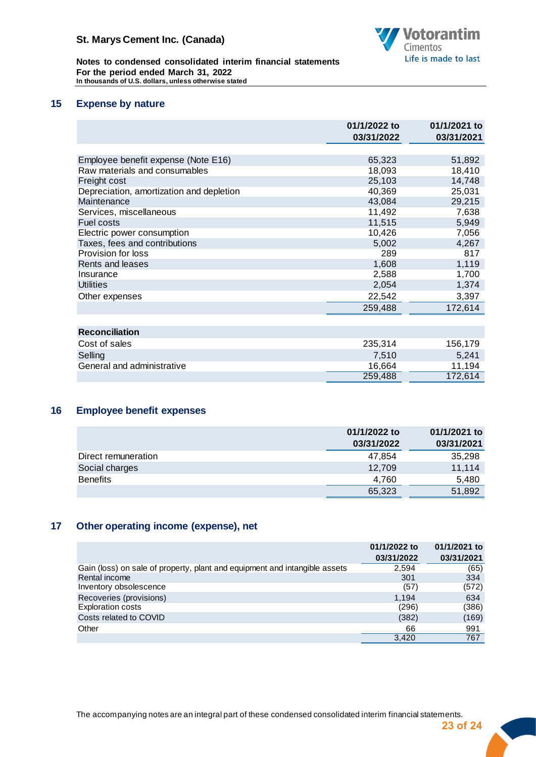

**Notes to condensed consolidated interim financial statements For the period ended March 31, 2022 In thousands of U.S. dollars, unless otherwise stated**

## **15 Expense by nature**

<span id="page-23-0"></span>

|                                          | 01/1/2022 to<br>03/31/2022 | 01/1/2021 to<br>03/31/2021 |
|------------------------------------------|----------------------------|----------------------------|
|                                          |                            |                            |
| Employee benefit expense (Note E16)      | 65,323                     | 51,892                     |
| Raw materials and consumables            | 18,093                     | 18,410                     |
| Freight cost                             | 25,103                     | 14,748                     |
| Depreciation, amortization and depletion | 40,369                     | 25,031                     |
| Maintenance                              | 43,084                     | 29,215                     |
| Services, miscellaneous                  | 11,492                     | 7,638                      |
| Fuel costs                               | 11,515                     | 5,949                      |
| Electric power consumption               | 10,426                     | 7,056                      |
| Taxes, fees and contributions            | 5,002                      | 4,267                      |
| Provision for loss                       | 289                        | 817                        |
| Rents and leases                         | 1,608                      | 1,119                      |
| Insurance                                | 2,588                      | 1,700                      |
| <b>Utilities</b>                         | 2,054                      | 1,374                      |
| Other expenses                           | 22,542                     | 3,397                      |
|                                          | 259,488                    | 172,614                    |
|                                          |                            |                            |
| <b>Reconciliation</b>                    |                            |                            |
| Cost of sales                            | 235,314                    | 156,179                    |
| Selling                                  | 7,510                      | 5,241                      |
| General and administrative               | 16,664                     | 11,194                     |
|                                          | 259,488                    | 172,614                    |

## **16 Employee benefit expenses**

<span id="page-23-1"></span>

|                     | 01/1/2022 to<br>03/31/2022 | 01/1/2021 to<br>03/31/2021 |
|---------------------|----------------------------|----------------------------|
| Direct remuneration | 47,854                     | 35,298                     |
| Social charges      | 12.709                     | 11,114                     |
| <b>Benefits</b>     | 4.760                      | 5,480                      |
|                     | 65,323                     | 51,892                     |

## **17 Other operating income (expense), net**

<span id="page-23-2"></span>

|                                                                            | 01/1/2022 to<br>03/31/2022 | 01/1/2021 to<br>03/31/2021 |
|----------------------------------------------------------------------------|----------------------------|----------------------------|
| Gain (loss) on sale of property, plant and equipment and intangible assets | 2,594                      | (65)                       |
| Rental income                                                              | 301                        | 334                        |
| Inventory obsolescence                                                     | (57)                       | (572)                      |
| Recoveries (provisions)                                                    | 1.194                      | 634                        |
| <b>Exploration costs</b>                                                   | (296)                      | (386)                      |
| Costs related to COVID                                                     | (382)                      | (169)                      |
| Other                                                                      | 66                         | 991                        |
|                                                                            | 3.420                      | 767                        |

The accompanying notes are an integral part of these condensed consolidated interim financial statements.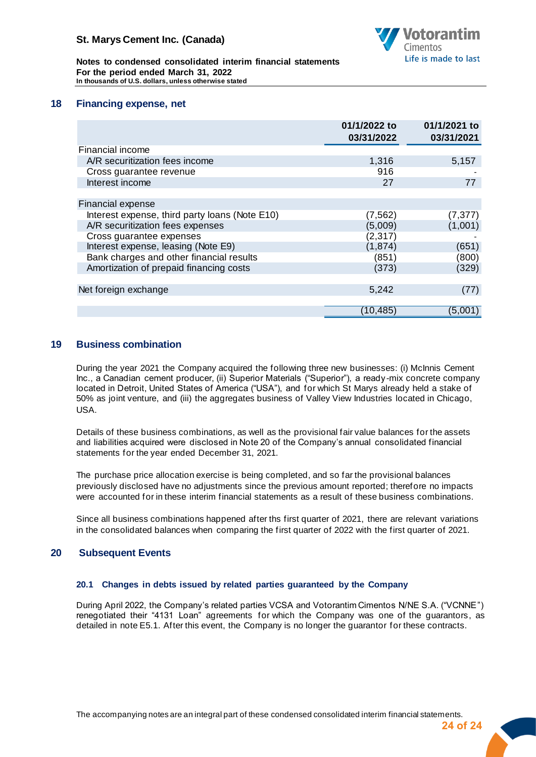

**Notes to condensed consolidated interim financial statements For the period ended March 31, 2022 In thousands of U.S. dollars, unless otherwise stated**

## **18 Financing expense, net**

<span id="page-24-0"></span>

|                                                | 01/1/2022 to<br>03/31/2022 | 01/1/2021 to<br>03/31/2021 |
|------------------------------------------------|----------------------------|----------------------------|
| Financial income                               |                            |                            |
| A/R securitization fees income                 | 1,316                      | 5,157                      |
| Cross guarantee revenue                        | 916                        |                            |
| Interest income                                | 27                         | 77                         |
|                                                |                            |                            |
| Financial expense                              |                            |                            |
| Interest expense, third party loans (Note E10) | (7, 562)                   | (7, 377)                   |
| A/R securitization fees expenses               | (5,009)                    | (1,001)                    |
| Cross guarantee expenses                       | (2, 317)                   |                            |
| Interest expense, leasing (Note E9)            | (1, 874)                   | (651)                      |
| Bank charges and other financial results       | (851)                      | (800)                      |
| Amortization of prepaid financing costs        | (373)                      | (329)                      |
|                                                |                            |                            |
| Net foreign exchange                           | 5,242                      | (77)                       |
|                                                |                            |                            |
|                                                | (10, 485)                  | (5,001)                    |

## <span id="page-24-1"></span>**19 Business combination**

During the year 2021 the Company acquired the following three new businesses: (i) McInnis Cement Inc., a Canadian cement producer, (ii) Superior Materials ("Superior"), a ready -mix concrete company located in Detroit, United States of America ("USA"), and for which St Marys already held a stake of 50% as joint venture, and (iii) the aggregates business of Valley View Industries located in Chicago, USA.

Details of these business combinations, as well as the provisional fair value balances for the assets and liabilities acquired were disclosed in Note 20 of the Company's annual consolidated financial statements for the year ended December 31, 2021.

The purchase price allocation exercise is being completed, and so far the provisional balances previously disclosed have no adjustments since the previous amount reported; therefore no impacts were accounted for in these interim financial statements as a result of these business combinations.

Since all business combinations happened after ths first quarter of 2021, there are relevant variations in the consolidated balances when comparing the first quarter of 2022 with the first quarter of 2021.

## <span id="page-24-2"></span>**20 Subsequent Events**

#### **20.1 Changes in debts issued by related parties guaranteed by the Company**

During April 2022, the Company's related parties VCSA and Votorantim Cimentos N/NE S.A. ("VCNNE") renegotiated their "4131 Loan" agreements for which the Company was one of the guarantors, as detailed in note E5.1. After this event, the Company is no longer the guarantor for these contracts.